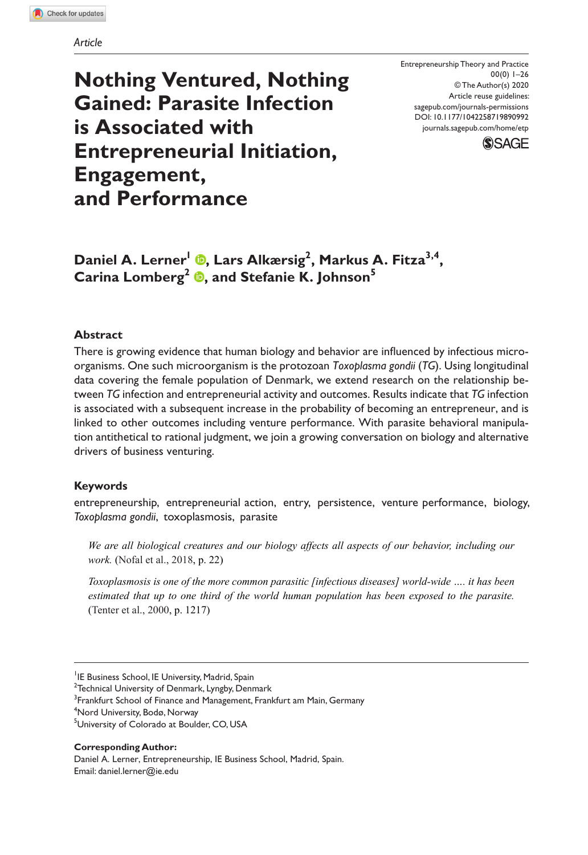*Article*

**Nothing Ventured, Nothing Gained: Parasite Infection is Associated with Entrepreneurial Initiation, Engagement, and Performance**

Entrepreneurship Theory and Practice 00(0) 1–26 © The Author(s) 2020 Article reuse guidelines: sagepub.com/journals-permissions DOI: 10.1177/1042258719890992 [journals.sagepub.com/home/etp](https://journals.sagepub.com/home/etp)



Daniel A. Lerner<sup>l</sup> ©, Lars Alkærsig<sup>2</sup>, Markus A. Fitza<sup>3,4</sup>, **Carina Lomberg2 , and Stefanie K. Johnson<sup>5</sup>**

### **Abstract**

There is growing evidence that human biology and behavior are influenced by infectious microorganisms. One such microorganism is the protozoan *Toxoplasma gondii* (*TG*). Using longitudinal data covering the female population of Denmark, we extend research on the relationship between *TG* infection and entrepreneurial activity and outcomes. Results indicate that *TG* infection is associated with a subsequent increase in the probability of becoming an entrepreneur, and is linked to other outcomes including venture performance. With parasite behavioral manipulation antithetical to rational judgment, we join a growing conversation on biology and alternative drivers of business venturing.

### **Keywords**

entrepreneurship, entrepreneurial action, entry, persistence, venture performance, biology, *Toxoplasma gondii*, toxoplasmosis, parasite

*We are all biological creatures and our biology affects all aspects of our behavior, including our work.* (Nofal et [al., 2018,](#page-23-0) p. 22)

*Toxoplasmosis is one of the more common parasitic [infectious diseases] world-wide …. it has been estimated that up to one third of the world human population has been exposed to the parasite.* [\(Tenter et](#page-24-0) al., 2000, p. 1217)

 $^{2}$ Technical University of Denmark, Lyngby, Denmark

 $^3$ Frankfurt School of Finance and Management, Frankfurt am Main, Germany

**Corresponding Author:** 

Daniel A. Lerner, Entrepreneurship, IE Business School, Madrid, Spain. Email: [daniel.lerner@ie.edu](mailto:daniel.lerner@ie.edu)

<sup>&</sup>lt;sup>1</sup>IE Business School, IE University, Madrid, Spain

<sup>4</sup> Nord University, Bodø, Norway

<sup>&</sup>lt;sup>5</sup>University of Colorado at Boulder, CO, USA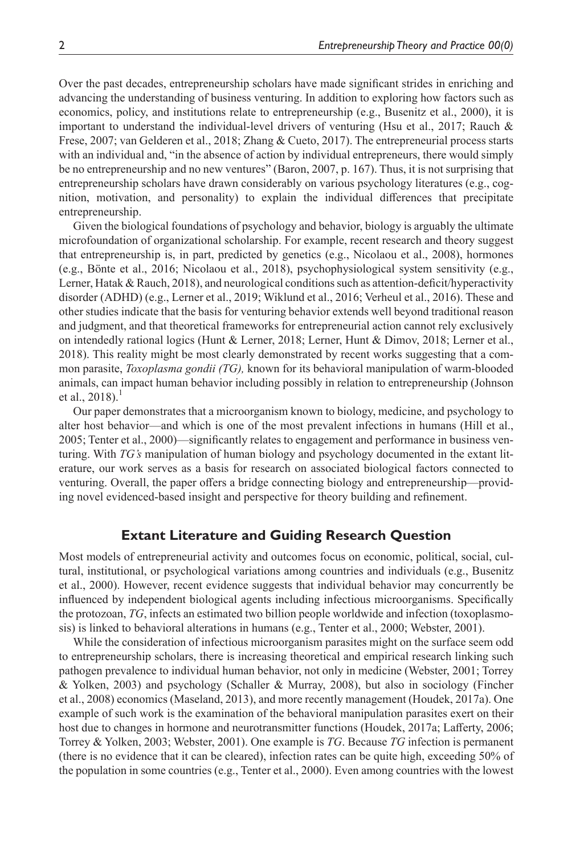Over the past decades, entrepreneurship scholars have made significant strides in enriching and advancing the understanding of business venturing. In addition to exploring how factors such as economics, policy, and institutions relate to entrepreneurship (e.g., [Busenitz et](#page-20-0) al., 2000), it is important to understand the individual-level drivers of venturing (Hsu et [al., 2017](#page-22-0); Rauch  $\&$ [Frese, 2007;](#page-23-1) [van Gelderen et](#page-24-1) al., 2018; [Zhang & Cueto, 2017](#page-25-0)). The entrepreneurial process starts with an individual and, "in the absence of action by individual entrepreneurs, there would simply be no entrepreneurship and no new ventures" ([Baron, 2007,](#page-20-1) p. 167). Thus, it is not surprising that entrepreneurship scholars have drawn considerably on various psychology literatures (e.g., cognition, motivation, and personality) to explain the individual differences that precipitate entrepreneurship.

Given the biological foundations of psychology and behavior, biology is arguably the ultimate microfoundation of organizational scholarship. For example, recent research and theory suggest that entrepreneurship is, in part, predicted by genetics (e.g., [Nicolaou et](#page-23-2) al., 2008), hormones (e.g., Bönte et [al., 2016;](#page-20-2) [Nicolaou et](#page-23-3) al., 2018), psychophysiological system sensitivity (e.g., [Lerner, Hatak & Rauch, 2018](#page-22-1)), and neurological conditions such as attention-deficit/hyperactivity disorder (ADHD) (e.g., [Lerner et](#page-22-2) al., 2019; [Wiklund et](#page-24-2) al., 2016; [Verheul et](#page-24-3) al., 2016). These and other studies indicate that the basis for venturing behavior extends well beyond traditional reason and judgment, and that theoretical frameworks for entrepreneurial action cannot rely exclusively on intendedly rational logics ([Hunt & Lerner, 2018](#page-22-3); [Lerner, Hunt & Dimov, 2018](#page-22-4); [Lerner et](#page-22-5) al., [2018\)](#page-22-5). This reality might be most clearly demonstrated by recent works suggesting that a common parasite, *Toxoplasma gondii (TG),* known for its behavioral manipulation of warm-blooded animals, can impact human behavior including possibly in relation to entrepreneurship ([Johnson](#page-22-6)  et al.,  $2018$  $2018$  $2018$ ).<sup>1</sup>

Our paper demonstrates that a microorganism known to biology, medicine, and psychology to alter host behavior—and which is one of the most prevalent infections in humans [\(Hill et](#page-22-7) al., [2005;](#page-22-7) [Tenter et](#page-24-0) al., 2000)—significantly relates to engagement and performance in business venturing. With *TG's* manipulation of human biology and psychology documented in the extant literature, our work serves as a basis for research on associated biological factors connected to venturing. Overall, the paper offers a bridge connecting biology and entrepreneurship—providing novel evidenced-based insight and perspective for theory building and refinement.

## **Extant Literature and Guiding Research Question**

Most models of entrepreneurial activity and outcomes focus on economic, political, social, cultural, institutional, or psychological variations among countries and individuals (e.g., [Busenitz](#page-20-0)  et [al., 2000](#page-20-0)). However, recent evidence suggests that individual behavior may concurrently be influenced by independent biological agents including infectious microorganisms. Specifically the protozoan, *TG*, infects an estimated two billion people worldwide and infection (toxoplasmosis) is linked to behavioral alterations in humans (e.g., [Tenter et](#page-24-0) al., 2000; [Webster, 2001\)](#page-24-4).

While the consideration of infectious microorganism parasites might on the surface seem odd to entrepreneurship scholars, there is increasing theoretical and empirical research linking such pathogen prevalence to individual human behavior, not only in medicine [\(Webster, 2001](#page-24-4); [Torrey](#page-24-5)  [& Yolken, 2003\)](#page-24-5) and psychology ([Schaller & Murray, 2008](#page-24-6)), but also in sociology [\(Fincher](#page-21-0)  et [al., 2008](#page-21-0)) economics ([Maseland, 2013\)](#page-23-4), and more recently management ([Houdek, 2017a](#page-22-8)). One example of such work is the examination of the behavioral manipulation parasites exert on their host due to changes in hormone and neurotransmitter functions [\(Houdek, 2017a](#page-22-8); [Lafferty, 2006](#page-22-9); [Torrey & Yolken, 2003](#page-24-5); [Webster, 2001](#page-24-4)). One example is *TG*. Because *TG* infection is permanent (there is no evidence that it can be cleared), infection rates can be quite high, exceeding 50% of the population in some countries (e.g., Tenter et [al., 2000\)](#page-24-0). Even among countries with the lowest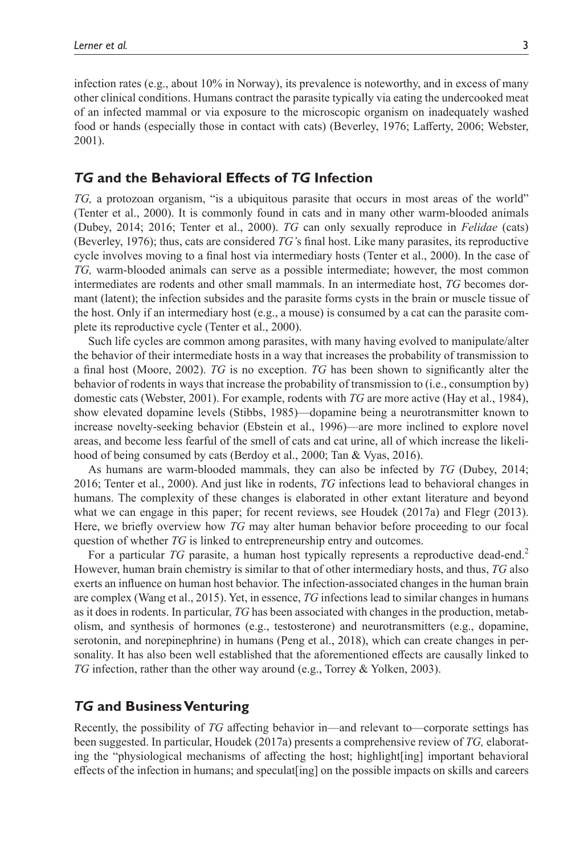infection rates (e.g., about 10% in Norway), its prevalence is noteworthy, and in excess of many other clinical conditions. Humans contract the parasite typically via eating the undercooked meat of an infected mammal or via exposure to the microscopic organism on inadequately washed food or hands (especially those in contact with cats) [\(Beverley, 1976](#page-20-3); [Lafferty, 2006](#page-22-9); [Webster,](#page-24-4) [2001](#page-24-4)).

# *TG* **and the Behavioral Effects of** *TG* **Infection**

*TG,* a protozoan organism, "is a ubiquitous parasite that occurs in most areas of the world" ([Tenter et](#page-24-0) al., 2000). It is commonly found in cats and in many other warm-blooded animals ([Dubey, 2014](#page-21-1); [2016](#page-21-2); Tenter et [al., 2000\)](#page-24-0). *TG* can only sexually reproduce in *Felidae* (cats) ([Beverley, 1976\)](#page-20-3); thus, cats are considered *TG'*s final host. Like many parasites, its reproductive cycle involves moving to a final host via intermediary hosts ([Tenter et](#page-24-0) al., 2000). In the case of *TG,* warm-blooded animals can serve as a possible intermediate; however, the most common intermediates are rodents and other small mammals. In an intermediate host, *TG* becomes dormant (latent); the infection subsides and the parasite forms cysts in the brain or muscle tissue of the host. Only if an intermediary host (e.g., a mouse) is consumed by a cat can the parasite complete its reproductive cycle [\(Tenter et](#page-24-0) al., 2000).

Such life cycles are common among parasites, with many having evolved to manipulate/alter the behavior of their intermediate hosts in a way that increases the probability of transmission to a final host ([Moore, 2002\)](#page-23-5). *TG* is no exception. *TG* has been shown to significantly alter the behavior of rodents in ways that increase the probability of transmission to (i.e., consumption by) domestic cats [\(Webster, 2001](#page-24-4)). For example, rodents with *TG* are more active (Hay et [al., 1984\)](#page-21-3), show elevated dopamine levels ([Stibbs, 1985](#page-24-7))—dopamine being a neurotransmitter known to increase novelty-seeking behavior [\(Ebstein et](#page-21-4) al., 1996)—are more inclined to explore novel areas, and become less fearful of the smell of cats and cat urine, all of which increase the likelihood of being consumed by cats [\(Berdoy et](#page-20-4) al., 2000; [Tan & Vyas, 2016\)](#page-24-8).

As humans are warm-blooded mammals, they can also be infected by *TG* [\(Dubey, 2014;](#page-21-1) [2016](#page-21-2); [Tenter et](#page-24-0) al., 2000). And just like in rodents, *TG* infections lead to behavioral changes in humans. The complexity of these changes is elaborated in other extant literature and beyond what we can engage in this paper; for recent reviews, see [Houdek \(2017a\)](#page-22-8) and [Flegr \(2013\).](#page-21-5) Here, we briefly overview how *TG* may alter human behavior before proceeding to our focal question of whether *TG* is linked to entrepreneurship entry and outcomes.

For a particular *TG* parasite, a human host typically represents a reproductive dead-end.<sup>[2](#page-20-5)</sup> However, human brain chemistry is similar to that of other intermediary hosts, and thus, *TG* also exerts an influence on human host behavior. The infection-associated changes in the human brain are complex (Wang et [al., 2015](#page-24-9)). Yet, in essence, *TG* infections lead to similar changes in humans as it does in rodents. In particular, *TG* has been associated with changes in the production, metabolism, and synthesis of hormones (e.g., testosterone) and neurotransmitters (e.g., dopamine, serotonin, and norepinephrine) in humans (Peng et [al., 2018\)](#page-23-6), which can create changes in personality. It has also been well established that the aforementioned effects are causally linked to *TG* infection, rather than the other way around (e.g., [Torrey & Yolken, 2003\)](#page-24-5).

## *TG* **and Business Venturing**

Recently, the possibility of *TG* affecting behavior in—and relevant to—corporate settings has been suggested. In particular, [Houdek \(2017a\)](#page-22-8) presents a comprehensive review of *TG,* elaborating the "physiological mechanisms of affecting the host; highlight[ing] important behavioral effects of the infection in humans; and speculat[ing] on the possible impacts on skills and careers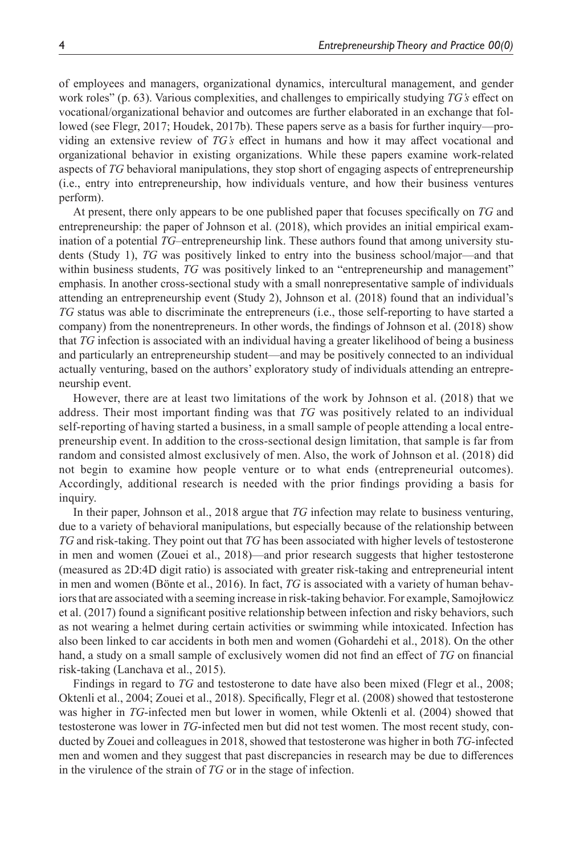of employees and managers, organizational dynamics, intercultural management, and gender work roles" (p. 63). Various complexities, and challenges to empirically studying *TG's* effect on vocational/organizational behavior and outcomes are further elaborated in an exchange that followed (see [Flegr, 2017;](#page-21-6) [Houdek, 2017b](#page-22-10)). These papers serve as a basis for further inquiry—providing an extensive review of *TG's* effect in humans and how it may affect vocational and organizational behavior in existing organizations. While these papers examine work-related aspects of *TG* behavioral manipulations, they stop short of engaging aspects of entrepreneurship (i.e., entry into entrepreneurship, how individuals venture, and how their business ventures perform).

At present, there only appears to be one published paper that focuses specifically on *TG* and entrepreneurship: the paper of [Johnson et](#page-22-6) al. (2018), which provides an initial empirical examination of a potential *TG–*entrepreneurship link. These authors found that among university students (Study 1), *TG* was positively linked to entry into the business school/major—and that within business students, *TG* was positively linked to an "entrepreneurship and management" emphasis. In another cross-sectional study with a small nonrepresentative sample of individuals attending an entrepreneurship event (Study 2), [Johnson et](#page-22-6) al. (2018) found that an individual's *TG* status was able to discriminate the entrepreneurs (i.e., those self-reporting to have started a company) from the nonentrepreneurs. In other words, the findings of [Johnson et](#page-22-6) al. (2018) show that *TG* infection is associated with an individual having a greater likelihood of being a business and particularly an entrepreneurship student—and may be positively connected to an individual actually venturing, based on the authors' exploratory study of individuals attending an entrepreneurship event.

However, there are at least two limitations of the work by [Johnson et](#page-22-6) al. (2018) that we address. Their most important finding was that *TG* was positively related to an individual self-reporting of having started a business, in a small sample of people attending a local entrepreneurship event. In addition to the cross-sectional design limitation, that sample is far from random and consisted almost exclusively of men. Also, the work of [Johnson et](#page-22-6) al. (2018) did not begin to examine how people venture or to what ends (entrepreneurial outcomes). Accordingly, additional research is needed with the prior findings providing a basis for inquiry.

In their paper, [Johnson et](#page-22-6) al., 2018 argue that *TG* infection may relate to business venturing, due to a variety of behavioral manipulations, but especially because of the relationship between *TG* and risk-taking. They point out that *TG* has been associated with higher levels of testosterone in men and women (Zouei et [al., 2018](#page-25-1))—and prior research suggests that higher testosterone (measured as 2D:4D digit ratio) is associated with greater risk-taking and entrepreneurial intent in men and women (Bönte et [al., 2016\)](#page-20-2). In fact, *TG* is associated with a variety of human behaviors that are associated with a seeming increase in risk-taking behavior. For example, [Samojłowicz](#page-24-10)  et [al. \(2017\)](#page-24-10) found a significant positive relationship between infection and risky behaviors, such as not wearing a helmet during certain activities or swimming while intoxicated. Infection has also been linked to car accidents in both men and women ([Gohardehi et](#page-21-7) al., 2018). On the other hand, a study on a small sample of exclusively women did not find an effect of *TG* on financial risk-taking ([Lanchava et](#page-22-11) al., 2015).

Findings in regard to *TG* and testosterone to date have also been mixed (Flegr et [al., 2008;](#page-21-8) [Oktenli et](#page-23-7) al., 2004; Zouei et [al., 2018](#page-25-1)). Specifically, Flegr et [al. \(2008\)](#page-21-8) showed that testosterone was higher in *TG*-infected men but lower in women, while [Oktenli et](#page-23-7) al. (2004) showed that testosterone was lower in *TG*-infected men but did not test women. The most recent study, conducted by Zouei and colleagues in 2018, showed that testosterone was higher in both *TG-*infected men and women and they suggest that past discrepancies in research may be due to differences in the virulence of the strain of *TG* or in the stage of infection.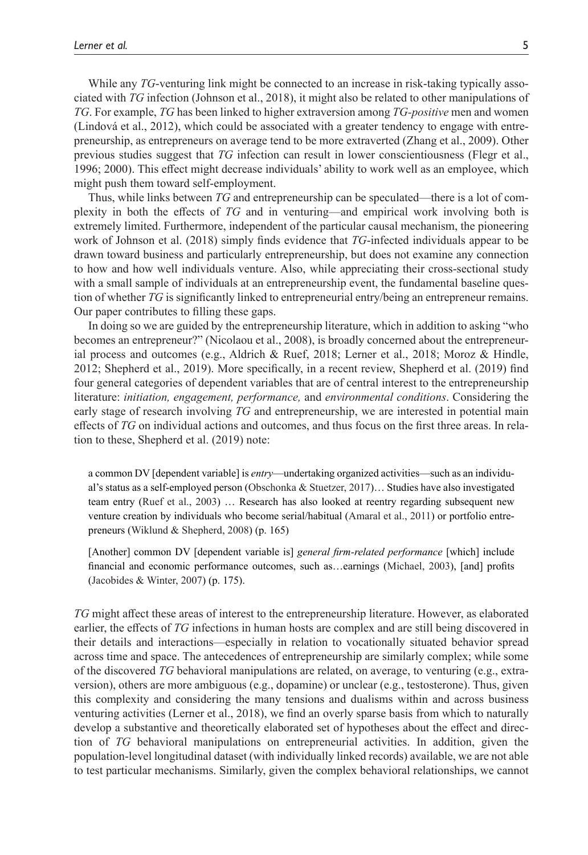While any *TG*-venturing link might be connected to an increase in risk-taking typically associated with *TG* infection ([Johnson et](#page-22-6) al., 2018), it might also be related to other manipulations of *TG*. For example, *TG* has been linked to higher extraversion among *TG-positive* men and women ([Lindová et](#page-23-8) al., 2012), which could be associated with a greater tendency to engage with entrepreneurship, as entrepreneurs on average tend to be more extraverted [\(Zhang et](#page-25-2) al., 2009). Other previous studies suggest that *TG* infection can result in lower conscientiousness ([Flegr et](#page-21-9) al., [1996](#page-21-9); [2000](#page-21-10)). This effect might decrease individuals' ability to work well as an employee, which might push them toward self-employment.

Thus, while links between *TG* and entrepreneurship can be speculated—there is a lot of complexity in both the effects of *TG* and in venturing—and empirical work involving both is extremely limited. Furthermore, independent of the particular causal mechanism, the pioneering work of [Johnson et](#page-22-6) al. (2018) simply finds evidence that *TG*-infected individuals appear to be drawn toward business and particularly entrepreneurship, but does not examine any connection to how and how well individuals venture. Also, while appreciating their cross-sectional study with a small sample of individuals at an entrepreneurship event, the fundamental baseline question of whether *TG* is significantly linked to entrepreneurial entry/being an entrepreneur remains. Our paper contributes to filling these gaps.

In doing so we are guided by the entrepreneurship literature, which in addition to asking "who becomes an entrepreneur?" [\(Nicolaou et](#page-23-2) al., 2008), is broadly concerned about the entrepreneurial process and outcomes (e.g., [Aldrich & Ruef, 2018](#page-20-6); [Lerner et](#page-22-5) al., 2018; [Moroz & Hindle,](#page-23-9) [2012](#page-23-9); [Shepherd et](#page-24-11) al., 2019). More specifically, in a recent review, [Shepherd et](#page-24-11) al. (2019) find four general categories of dependent variables that are of central interest to the entrepreneurship literature: *initiation, engagement, performance,* and *environmental conditions*. Considering the early stage of research involving *TG* and entrepreneurship, we are interested in potential main effects of *TG* on individual actions and outcomes, and thus focus on the first three areas. In relation to these, [Shepherd et](#page-24-11) al. (2019) note:

a common DV [dependent variable] is *entry*—undertaking organized activities—such as an individual's status as a self-employed person ([Obschonka & Stuetzer, 2017](#page-23-10))… Studies have also investigated team entry (Ruef et [al., 2003\)](#page-23-11) … Research has also looked at reentry regarding subsequent new venture creation by individuals who become serial/habitual ([Amaral et](#page-20-7) al., 2011) or portfolio entrepreneurs ([Wiklund & Shepherd, 2008](#page-24-12)) (p. 165)

[Another] common DV [dependent variable is] *general firm-related performance* [which] include financial and economic performance outcomes, such as…earnings ([Michael, 2003](#page-23-12)), [and] profits [\(Jacobides & Winter, 2007](#page-22-12)) (p. 175).

*TG* might affect these areas of interest to the entrepreneurship literature. However, as elaborated earlier, the effects of *TG* infections in human hosts are complex and are still being discovered in their details and interactions—especially in relation to vocationally situated behavior spread across time and space. The antecedences of entrepreneurship are similarly complex; while some of the discovered *TG* behavioral manipulations are related, on average, to venturing (e.g., extraversion), others are more ambiguous (e.g., dopamine) or unclear (e.g., testosterone). Thus, given this complexity and considering the many tensions and dualisms within and across business venturing activities [\(Lerner et](#page-22-5) al., 2018), we find an overly sparse basis from which to naturally develop a substantive and theoretically elaborated set of hypotheses about the effect and direction of *TG* behavioral manipulations on entrepreneurial activities. In addition, given the population-level longitudinal dataset (with individually linked records) available, we are not able to test particular mechanisms. Similarly, given the complex behavioral relationships, we cannot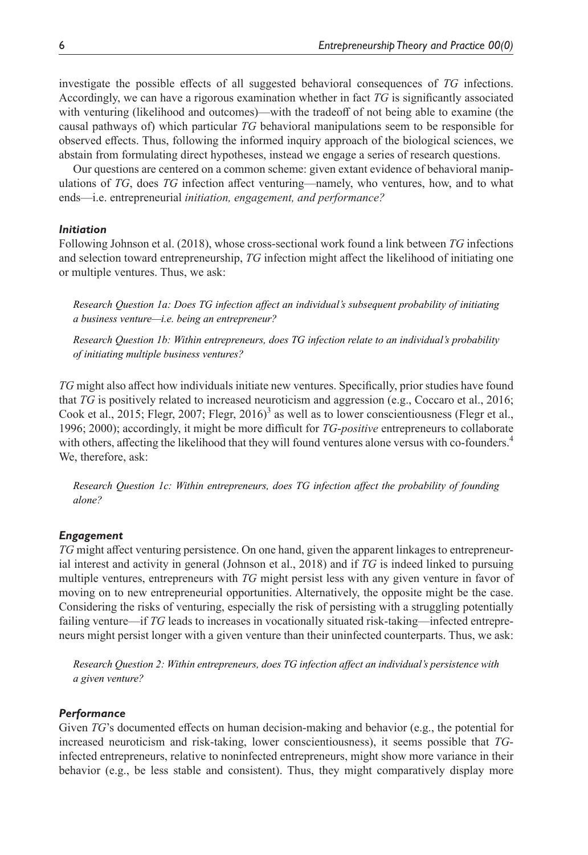investigate the possible effects of all suggested behavioral consequences of *TG* infections. Accordingly, we can have a rigorous examination whether in fact *TG* is significantly associated with venturing (likelihood and outcomes)—with the tradeoff of not being able to examine (the causal pathways of) which particular *TG* behavioral manipulations seem to be responsible for observed effects. Thus, following the informed inquiry approach of the biological sciences, we abstain from formulating direct hypotheses, instead we engage a series of research questions.

Our questions are centered on a common scheme: given extant evidence of behavioral manipulations of *TG*, does *TG* infection affect venturing—namely, who ventures, how, and to what ends—i.e. entrepreneurial *initiation, engagement, and performance?*

#### *Initiation*

Following [Johnson et](#page-22-6) al. (2018), whose cross-sectional work found a link between *TG* infections and selection toward entrepreneurship, *TG* infection might affect the likelihood of initiating one or multiple ventures. Thus, we ask:

*Research Question 1a: Does TG infection affect an individual's subsequent probability of initiating a business venture—i.e. being an entrepreneur?*

*Research Question 1b: Within entrepreneurs, does TG infection relate to an individual's probability of initiating multiple business ventures?*

*TG* might also affect how individuals initiate new ventures. Specifically, prior studies have found that *TG* is positively related to increased neuroticism and aggression (e.g., [Coccaro et](#page-20-8) al., 2016; Cook et [al., 2015;](#page-20-9) [Flegr, 2007](#page-21-11); [Flegr, 2016\)](#page-21-12)<sup>[3](#page-20-10)</sup> as well as to lower conscientiousness ([Flegr et](#page-21-9) al., [1996;](#page-21-9) [2000](#page-21-10)); accordingly, it might be more difficult for *TG*-*positive* entrepreneurs to collaborate with others, affecting the likelihood that they will found ventures alone versus with co-founders.<sup>[4](#page-20-11)</sup> We, therefore, ask:

*Research Question 1c: Within entrepreneurs, does TG infection affect the probability of founding alone?*

#### *Engagement*

*TG* might affect venturing persistence. On one hand, given the apparent linkages to entrepreneurial interest and activity in general [\(Johnson et](#page-22-6) al., 2018) and if *TG* is indeed linked to pursuing multiple ventures, entrepreneurs with *TG* might persist less with any given venture in favor of moving on to new entrepreneurial opportunities. Alternatively, the opposite might be the case. Considering the risks of venturing, especially the risk of persisting with a struggling potentially failing venture—if *TG* leads to increases in vocationally situated risk-taking—infected entrepreneurs might persist longer with a given venture than their uninfected counterparts. Thus, we ask:

*Research Question 2: Within entrepreneurs, does TG infection affect an individual's persistence with a given venture?*

#### *Performance*

Given *TG*'s documented effects on human decision-making and behavior (e.g., the potential for increased neuroticism and risk-taking, lower conscientiousness), it seems possible that *TG*infected entrepreneurs, relative to noninfected entrepreneurs, might show more variance in their behavior (e.g., be less stable and consistent). Thus, they might comparatively display more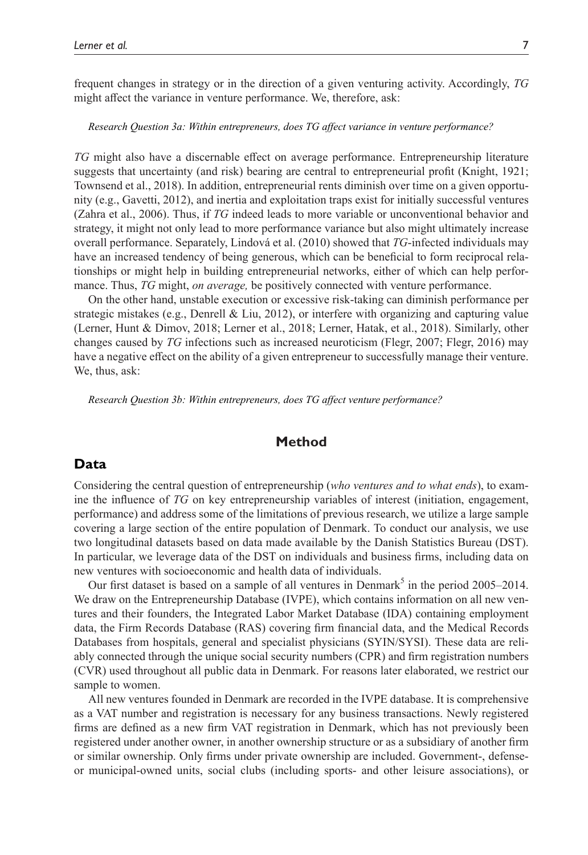frequent changes in strategy or in the direction of a given venturing activity. Accordingly, *TG* might affect the variance in venture performance. We, therefore, ask:

#### *Research Question 3a: Within entrepreneurs, does TG affect variance in venture performance?*

*TG* might also have a discernable effect on average performance. Entrepreneurship literature suggests that uncertainty (and risk) bearing are central to entrepreneurial profit ([Knight, 1921;](#page-22-13) [Townsend et](#page-24-13) al., 2018). In addition, entrepreneurial rents diminish over time on a given opportunity (e.g., [Gavetti, 2012](#page-21-13)), and inertia and exploitation traps exist for initially successful ventures (Zahra et [al., 2006](#page-25-3)). Thus, if *TG* indeed leads to more variable or unconventional behavior and strategy, it might not only lead to more performance variance but also might ultimately increase overall performance. Separately, [Lindová et](#page-23-13) al. (2010) showed that *TG*-infected individuals may have an increased tendency of being generous, which can be beneficial to form reciprocal relationships or might help in building entrepreneurial networks, either of which can help performance. Thus, *TG* might, *on average,* be positively connected with venture performance.

On the other hand, unstable execution or excessive risk-taking can diminish performance per strategic mistakes (e.g., [Denrell & Liu, 2012\)](#page-21-14), or interfere with organizing and capturing value ([Lerner, Hunt & Dimov, 2018](#page-22-4); [Lerner et](#page-22-5) al., 2018; [Lerner, Hatak, et](#page-22-1) al., 2018). Similarly, other changes caused by *TG* infections such as increased neuroticism [\(Flegr, 2007](#page-21-11); [Flegr, 2016](#page-21-12)) may have a negative effect on the ability of a given entrepreneur to successfully manage their venture. We, thus, ask:

*Research Question 3b: Within entrepreneurs, does TG affect venture performance?*

## **Method**

### **Data**

Considering the central question of entrepreneurship (*who ventures and to what ends*), to examine the influence of *TG* on key entrepreneurship variables of interest (initiation, engagement, performance) and address some of the limitations of previous research, we utilize a large sample covering a large section of the entire population of Denmark. To conduct our analysis, we use two longitudinal datasets based on data made available by the Danish Statistics Bureau (DST). In particular, we leverage data of the DST on individuals and business firms, including data on new ventures with socioeconomic and health data of individuals.

Our first dataset is based on a sample of all ventures in Denmark<sup>[5](#page-20-12)</sup> in the period  $2005-2014$ . We draw on the Entrepreneurship Database (IVPE), which contains information on all new ventures and their founders, the Integrated Labor Market Database (IDA) containing employment data, the Firm Records Database (RAS) covering firm financial data, and the Medical Records Databases from hospitals, general and specialist physicians (SYIN/SYSI). These data are reliably connected through the unique social security numbers (CPR) and firm registration numbers (CVR) used throughout all public data in Denmark. For reasons later elaborated, we restrict our sample to women.

All new ventures founded in Denmark are recorded in the IVPE database. It is comprehensive as a VAT number and registration is necessary for any business transactions. Newly registered firms are defined as a new firm VAT registration in Denmark, which has not previously been registered under another owner, in another ownership structure or as a subsidiary of another firm or similar ownership. Only firms under private ownership are included. Government-, defenseor municipal-owned units, social clubs (including sports- and other leisure associations), or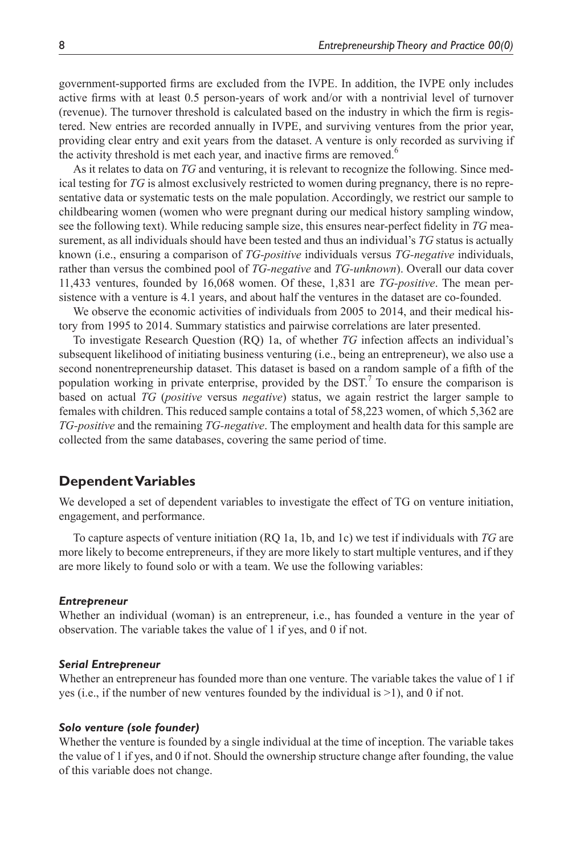government-supported firms are excluded from the IVPE. In addition, the IVPE only includes active firms with at least 0.5 person-years of work and/or with a nontrivial level of turnover (revenue). The turnover threshold is calculated based on the industry in which the firm is registered. New entries are recorded annually in IVPE, and surviving ventures from the prior year, providing clear entry and exit years from the dataset. A venture is only recorded as surviving if the activity threshold is met each year, and inactive firms are removed.<sup>[6](#page-20-13)</sup>

As it relates to data on *TG* and venturing, it is relevant to recognize the following. Since medical testing for *TG* is almost exclusively restricted to women during pregnancy, there is no representative data or systematic tests on the male population. Accordingly, we restrict our sample to childbearing women (women who were pregnant during our medical history sampling window, see the following text). While reducing sample size, this ensures near-perfect fidelity in *TG* measurement, as all individuals should have been tested and thus an individual's *TG* status is actually known (i.e., ensuring a comparison of *TG-positive* individuals versus *TG-negative* individuals, rather than versus the combined pool of *TG-negative* and *TG-unknown*). Overall our data cover 11,433 ventures, founded by 16,068 women. Of these, 1,831 are *TG-positive*. The mean persistence with a venture is 4.1 years, and about half the ventures in the dataset are co-founded.

We observe the economic activities of individuals from 2005 to 2014, and their medical history from 1995 to 2014. Summary statistics and pairwise correlations are later presented.

To investigate Research Question (RQ) 1a, of whether *TG* infection affects an individual's subsequent likelihood of initiating business venturing (i.e., being an entrepreneur), we also use a second nonentrepreneurship dataset. This dataset is based on a random sample of a fifth of the population working in private enterprise, provided by the DST.<sup>[7](#page-20-14)</sup> To ensure the comparison is based on actual *TG* (*positive* versus *negative*) status, we again restrict the larger sample to females with children. This reduced sample contains a total of 58,223 women, of which 5,362 are *TG-positive* and the remaining *TG-negative*. The employment and health data for this sample are collected from the same databases, covering the same period of time.

## **Dependent Variables**

We developed a set of dependent variables to investigate the effect of TG on venture initiation, engagement, and performance.

To capture aspects of venture initiation (RQ 1a, 1b, and 1c) we test if individuals with *TG* are more likely to become entrepreneurs, if they are more likely to start multiple ventures, and if they are more likely to found solo or with a team. We use the following variables:

#### *Entrepreneur*

Whether an individual (woman) is an entrepreneur, i.e., has founded a venture in the year of observation. The variable takes the value of 1 if yes, and 0 if not.

### *Serial Entrepreneur*

Whether an entrepreneur has founded more than one venture. The variable takes the value of 1 if yes (i.e., if the number of new ventures founded by the individual is >1), and 0 if not.

#### *Solo venture (sole founder)*

Whether the venture is founded by a single individual at the time of inception. The variable takes the value of 1 if yes, and 0 if not. Should the ownership structure change after founding, the value of this variable does not change.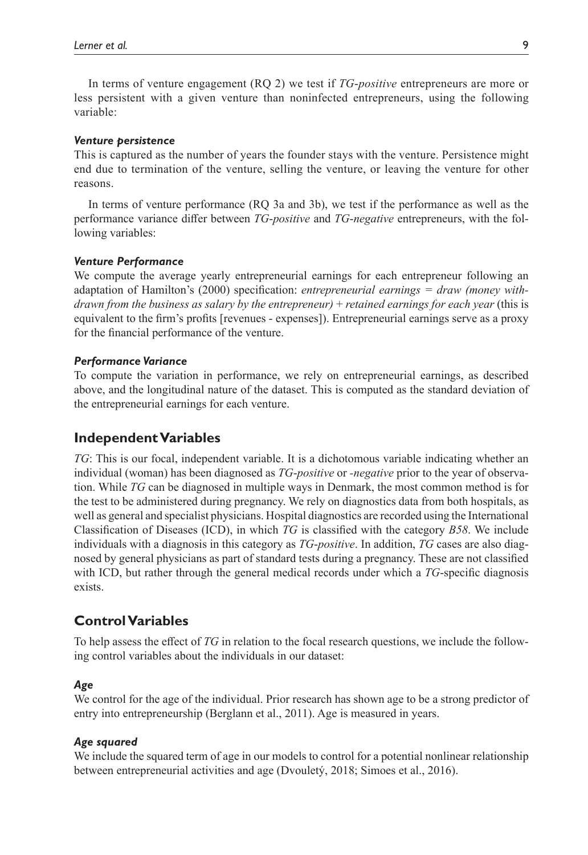In terms of venture engagement (RQ 2) we test if *TG*-*positive* entrepreneurs are more or less persistent with a given venture than noninfected entrepreneurs, using the following variable:

#### *Venture persistence*

This is captured as the number of years the founder stays with the venture. Persistence might end due to termination of the venture, selling the venture, or leaving the venture for other reasons.

In terms of venture performance (RQ 3a and 3b), we test if the performance as well as the performance variance differ between *TG*-*positive* and *TG*-*negative* entrepreneurs, with the following variables:

#### *Venture Performance*

We compute the average yearly entrepreneurial earnings for each entrepreneur following an adaptation of [Hamilton's \(2000\)](#page-21-15) specification: *entrepreneurial earnings = draw (money withdrawn from the business as salary by the entrepreneur)* + *retained earnings for each year* (this is equivalent to the firm's profits [revenues - expenses]). Entrepreneurial earnings serve as a proxy for the financial performance of the venture.

#### *Performance Variance*

To compute the variation in performance, we rely on entrepreneurial earnings, as described above, and the longitudinal nature of the dataset. This is computed as the standard deviation of the entrepreneurial earnings for each venture.

### **Independent Variables**

*TG*: This is our focal, independent variable. It is a dichotomous variable indicating whether an individual (woman) has been diagnosed as *TG*-*positive* or *-negative* prior to the year of observation. While *TG* can be diagnosed in multiple ways in Denmark, the most common method is for the test to be administered during pregnancy. We rely on diagnostics data from both hospitals, as well as general and specialist physicians. Hospital diagnostics are recorded using the International Classification of Diseases (ICD), in which *TG* is classified with the category *B58*. We include individuals with a diagnosis in this category as *TG*-*positive*. In addition, *TG* cases are also diagnosed by general physicians as part of standard tests during a pregnancy. These are not classified with ICD, but rather through the general medical records under which a *TG*-specific diagnosis exists.

## **Control Variables**

To help assess the effect of *TG* in relation to the focal research questions, we include the following control variables about the individuals in our dataset:

#### *Age*

We control for the age of the individual. Prior research has shown age to be a strong predictor of entry into entrepreneurship [\(Berglann et](#page-20-15) al., 2011). Age is measured in years.

#### *Age squared*

We include the squared term of age in our models to control for a potential nonlinear relationship between entrepreneurial activities and age [\(Dvouletý, 2018;](#page-21-16) [Simoes et](#page-24-14) al., 2016).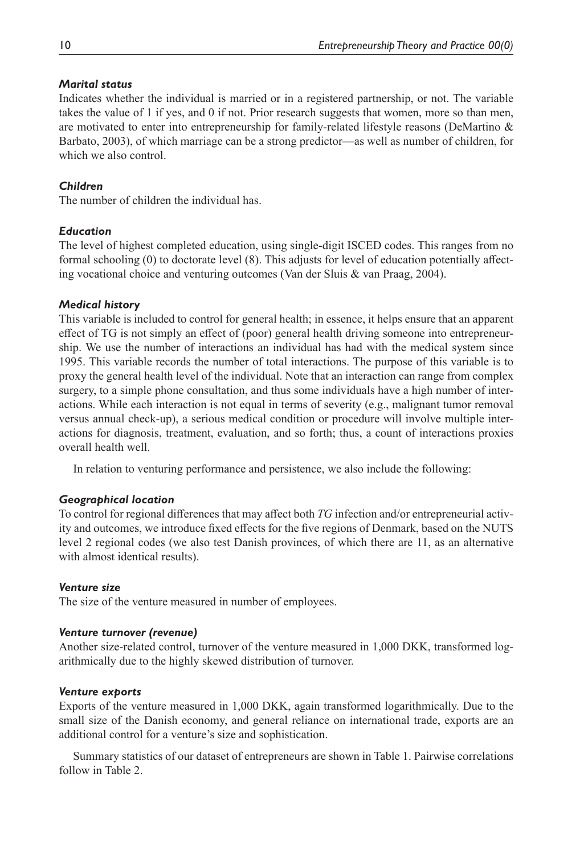## *Marital status*

Indicates whether the individual is married or in a registered partnership, or not. The variable takes the value of 1 if yes, and 0 if not. Prior research suggests that women, more so than men, are motivated to enter into entrepreneurship for family-related lifestyle reasons ([DeMartino &](#page-21-17)  [Barbato, 2003](#page-21-17)), of which marriage can be a strong predictor—as well as number of children, for which we also control.

# *Children*

The number of children the individual has.

# *Education*

The level of highest completed education, using single-digit ISCED codes. This ranges from no formal schooling (0) to doctorate level (8). This adjusts for level of education potentially affecting vocational choice and venturing outcomes ([Van der Sluis & van Praag, 2004](#page-24-15)).

# *Medical history*

This variable is included to control for general health; in essence, it helps ensure that an apparent effect of TG is not simply an effect of (poor) general health driving someone into entrepreneurship. We use the number of interactions an individual has had with the medical system since 1995. This variable records the number of total interactions. The purpose of this variable is to proxy the general health level of the individual. Note that an interaction can range from complex surgery, to a simple phone consultation, and thus some individuals have a high number of interactions. While each interaction is not equal in terms of severity (e.g., malignant tumor removal versus annual check-up), a serious medical condition or procedure will involve multiple interactions for diagnosis, treatment, evaluation, and so forth; thus, a count of interactions proxies overall health well.

In relation to venturing performance and persistence, we also include the following:

# *Geographical location*

To control for regional differences that may affect both *TG* infection and/or entrepreneurial activity and outcomes, we introduce fixed effects for the five regions of Denmark, based on the NUTS level 2 regional codes (we also test Danish provinces, of which there are 11, as an alternative with almost identical results).

# *Venture size*

The size of the venture measured in number of employees.

# *Venture turnover (revenue)*

Another size-related control, turnover of the venture measured in 1,000 DKK, transformed logarithmically due to the highly skewed distribution of turnover.

# *Venture exports*

Exports of the venture measured in 1,000 DKK, again transformed logarithmically. Due to the small size of the Danish economy, and general reliance on international trade, exports are an additional control for a venture's size and sophistication.

Summary statistics of our dataset of entrepreneurs are shown in [Table](#page-10-0) 1. Pairwise correlations follow in [Table](#page-11-0) 2.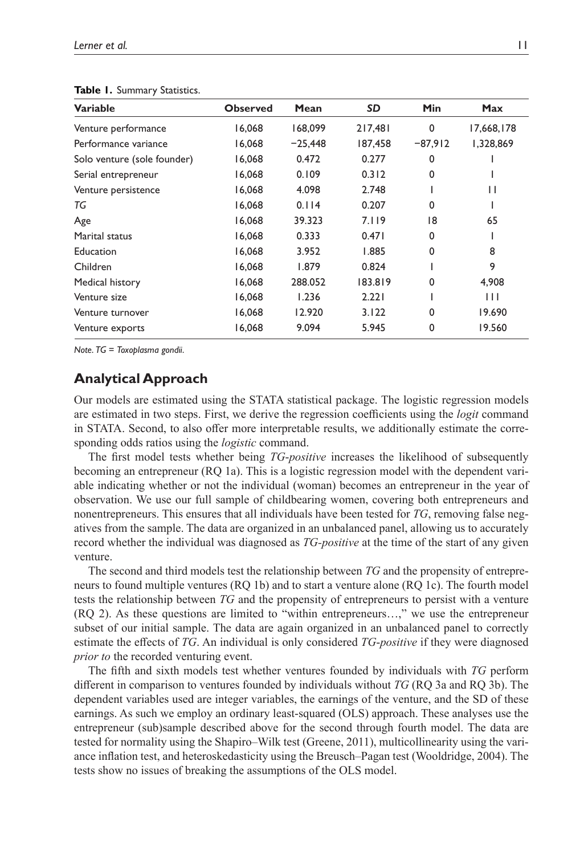| <b>Variable</b>             | <b>Observed</b> | Mean      | <b>SD</b> | <b>Min</b>  | <b>Max</b>   |
|-----------------------------|-----------------|-----------|-----------|-------------|--------------|
| Venture performance         | 16,068          | 168,099   | 217,481   | $\mathbf 0$ | 17,668,178   |
| Performance variance        | 16,068          | $-25,448$ | 187,458   | $-87,912$   | 1,328,869    |
| Solo venture (sole founder) | 16,068          | 0.472     | 0.277     | $\Omega$    |              |
| Serial entrepreneur         | 16,068          | 0.109     | 0.312     | 0           |              |
| Venture persistence         | 16,068          | 4.098     | 2.748     |             | $\mathsf{I}$ |
| TG                          | 16,068          | 0.114     | 0.207     | 0           |              |
| Age                         | 16,068          | 39.323    | 7.119     | 18          | 65           |
| Marital status              | 16.068          | 0.333     | 0.471     | $\Omega$    |              |
| <b>Education</b>            | 16,068          | 3.952     | 1.885     | 0           | 8            |
| Children                    | 16,068          | 1.879     | 0.824     |             | 9            |
| Medical history             | 16,068          | 288.052   | 183.819   | 0           | 4,908        |
| Venture size                | 16,068          | 1.236     | 2.221     |             | $\mathbf{1}$ |
| Venture turnover            | 16,068          | 12.920    | 3.122     | $\Omega$    | 19.690       |
| Venture exports             | 16,068          | 9.094     | 5.945     | 0           | 19.560       |

<span id="page-10-0"></span>**Table 1.** Summary Statistics.

*Note*. *TG* = *Toxoplasma gondii*.

# **Analytical Approach**

Our models are estimated using the STATA statistical package. The logistic regression models are estimated in two steps. First, we derive the regression coefficients using the *logit* command in STATA. Second, to also offer more interpretable results, we additionally estimate the corresponding odds ratios using the *logistic* command.

The first model tests whether being *TG*-*positive* increases the likelihood of subsequently becoming an entrepreneur (RQ 1a). This is a logistic regression model with the dependent variable indicating whether or not the individual (woman) becomes an entrepreneur in the year of observation. We use our full sample of childbearing women, covering both entrepreneurs and nonentrepreneurs. This ensures that all individuals have been tested for *TG*, removing false negatives from the sample. The data are organized in an unbalanced panel, allowing us to accurately record whether the individual was diagnosed as *TG-positive* at the time of the start of any given venture.

The second and third models test the relationship between *TG* and the propensity of entrepreneurs to found multiple ventures (RQ 1b) and to start a venture alone (RQ 1c). The fourth model tests the relationship between *TG* and the propensity of entrepreneurs to persist with a venture (RQ 2). As these questions are limited to "within entrepreneurs…," we use the entrepreneur subset of our initial sample. The data are again organized in an unbalanced panel to correctly estimate the effects of *TG*. An individual is only considered *TG*-*positive* if they were diagnosed *prior to* the recorded venturing event.

The fifth and sixth models test whether ventures founded by individuals with *TG* perform different in comparison to ventures founded by individuals without *TG* (RQ 3a and RQ 3b). The dependent variables used are integer variables, the earnings of the venture, and the SD of these earnings. As such we employ an ordinary least-squared (OLS) approach. These analyses use the entrepreneur (sub)sample described above for the second through fourth model. The data are tested for normality using the Shapiro–Wilk test ([Greene, 2011](#page-21-18)), multicollinearity using the variance inflation test, and heteroskedasticity using the Breusch–Pagan test ([Wooldridge, 2004\)](#page-24-16). The tests show no issues of breaking the assumptions of the OLS model.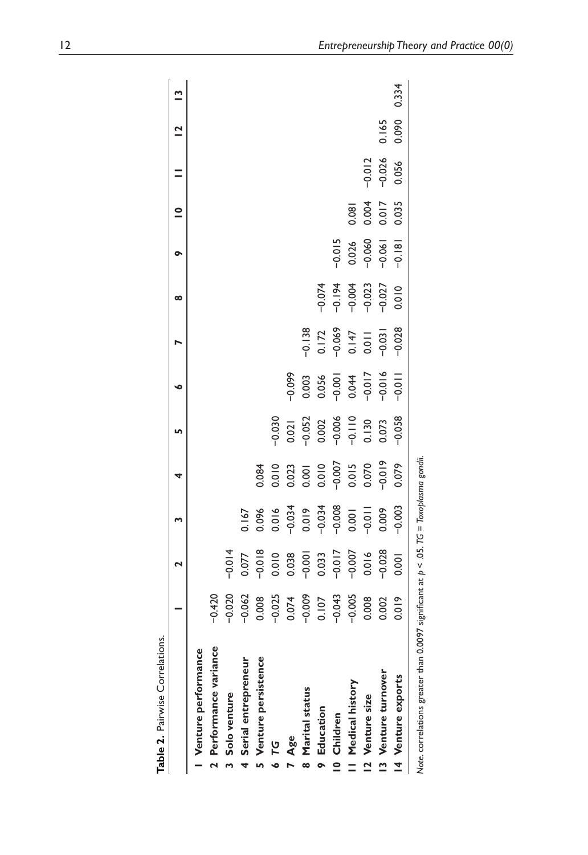| Table 2. Pairwise Correlations.                                                          |                       |                                              |                                                                                      |                                                    |                                                                   |                                                                                         |                                             |                                                          |                                     |                         |          |                         |       |
|------------------------------------------------------------------------------------------|-----------------------|----------------------------------------------|--------------------------------------------------------------------------------------|----------------------------------------------------|-------------------------------------------------------------------|-----------------------------------------------------------------------------------------|---------------------------------------------|----------------------------------------------------------|-------------------------------------|-------------------------|----------|-------------------------|-------|
|                                                                                          |                       | 2                                            |                                                                                      | 4                                                  | Lω                                                                | ∘                                                                                       |                                             | ∞                                                        | ᡐ                                   | $\overline{\mathsf{C}}$ |          | $\overline{\mathbf{C}}$ | ື     |
| Venture performance                                                                      |                       |                                              |                                                                                      |                                                    |                                                                   |                                                                                         |                                             |                                                          |                                     |                         |          |                         |       |
| 2 Performance variance                                                                   | $-0.420$              |                                              |                                                                                      |                                                    |                                                                   |                                                                                         |                                             |                                                          |                                     |                         |          |                         |       |
| 3 Solo venture                                                                           | $-0.020$              | $-0.014$                                     |                                                                                      |                                                    |                                                                   |                                                                                         |                                             |                                                          |                                     |                         |          |                         |       |
| 4 Serial entrepreneur                                                                    | $-0.062$              | 0.077                                        | 0.167                                                                                |                                                    |                                                                   |                                                                                         |                                             |                                                          |                                     |                         |          |                         |       |
| 5 Venture persistence                                                                    | 0.008                 | $-0.018$                                     | 0.096                                                                                | 0.084                                              |                                                                   |                                                                                         |                                             |                                                          |                                     |                         |          |                         |       |
| ט<br>דפ                                                                                  | $-0.025$              |                                              |                                                                                      |                                                    |                                                                   |                                                                                         |                                             |                                                          |                                     |                         |          |                         |       |
| Age                                                                                      | 0.074                 | 0.010                                        | $\begin{array}{r} 0.016 \\ -0.034 \\ 0.019 \\ -0.034 \\ -0.034 \\ 0.008 \end{array}$ | 0.010<br>0.023<br>0.001<br>0.007<br>0.015<br>0.070 | $-0.030$<br>0.02  <br>0.052<br>0.002<br>0.000  <br>0.073<br>0.073 | $-0.099$                                                                                |                                             |                                                          |                                     |                         |          |                         |       |
| 8 Marital status                                                                         | $-0.009$              |                                              |                                                                                      |                                                    |                                                                   |                                                                                         |                                             |                                                          |                                     |                         |          |                         |       |
| 9 Education                                                                              | 0.107                 | $-0.001$<br>$-0.033$<br>$-0.017$<br>$-0.007$ |                                                                                      |                                                    |                                                                   | $\begin{array}{c} 0.003 \\ 0.056 \\ -0.001 \\ 0.044 \\ -0.017 \\ -0.018 \\ \end{array}$ | $-0.138$<br>0.172<br>0.069<br>0.147<br>0.01 |                                                          |                                     |                         |          |                         |       |
| 10 Children                                                                              |                       |                                              |                                                                                      |                                                    |                                                                   |                                                                                         |                                             |                                                          |                                     |                         |          |                         |       |
| Il Medical history                                                                       | $-0.043$<br>$-0.005$  |                                              |                                                                                      |                                                    |                                                                   |                                                                                         |                                             | $-0.074$<br>$-0.194$<br>$-0.004$<br>$-0.023$<br>$-0.027$ | $-0.015$<br>0.026<br>0.060<br>0.061 | 0.081                   |          |                         |       |
| 12 Venture size                                                                          | 0.008                 | 0.016                                        | $-0.011$                                                                             |                                                    |                                                                   |                                                                                         |                                             |                                                          |                                     |                         | $-0.012$ |                         |       |
| 13 Venture turnover                                                                      | 0.002                 | $-0.028$                                     | 0.009                                                                                | $-0.019$                                           |                                                                   |                                                                                         | $-0.031$                                    |                                                          |                                     | 0.004<br>0.017<br>0.035 | $-0.026$ | 0.165                   |       |
| 14 Venture exports                                                                       | $\tilde{=}$<br>ㅎ<br>ㅎ | 0.001                                        | $-0.003$                                                                             | 0.079                                              | $-0.058$                                                          | $-0.011$                                                                                | $-0.028$                                    | 0.010                                                    | $-0.181$                            |                         | 0.056    | 0.090                   | 0.334 |
| Note, correlations greater than 0.0097 significant at $p < .05$ . TG = Toxoplasma gondii |                       |                                              |                                                                                      |                                                    |                                                                   |                                                                                         |                                             |                                                          |                                     |                         |          |                         |       |

<span id="page-11-0"></span>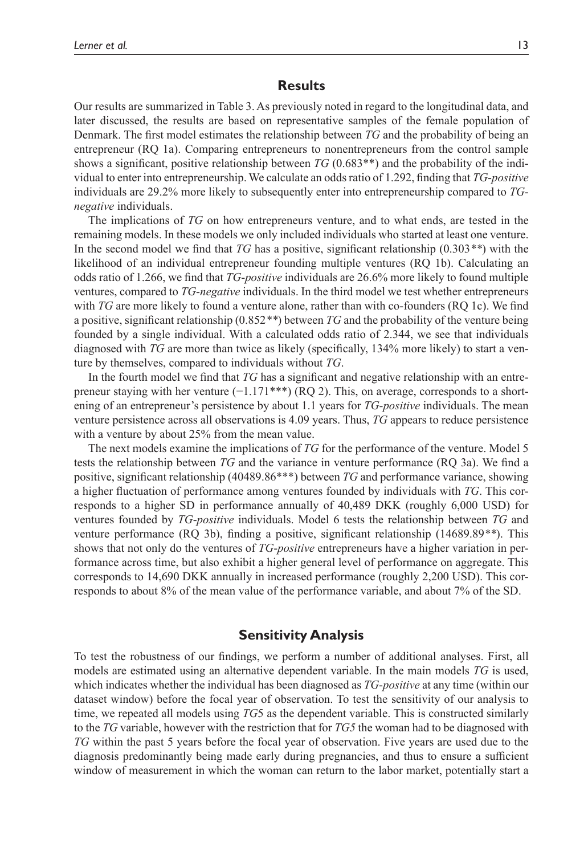# **Results**

Our results are summarized in [Table](#page-13-0) 3. As previously noted in regard to the longitudinal data, and later discussed, the results are based on representative samples of the female population of Denmark. The first model estimates the relationship between *TG* and the probability of being an entrepreneur (RQ 1a). Comparing entrepreneurs to nonentrepreneurs from the control sample shows a significant, positive relationship between *TG* (0.683\*\*) and the probability of the individual to enter into entrepreneurship. We calculate an odds ratio of 1.292, finding that *TG*-*positive* individuals are 29.2% more likely to subsequently enter into entrepreneurship compared to *TGnegative* individuals.

The implications of *TG* on how entrepreneurs venture, and to what ends, are tested in the remaining models. In these models we only included individuals who started at least one venture. In the second model we find that *TG* has a positive, significant relationship (0.303*\*\**) with the likelihood of an individual entrepreneur founding multiple ventures (RQ 1b). Calculating an odds ratio of 1.266, we find that *TG*-*positive* individuals are 26.6% more likely to found multiple ventures, compared to *TG*-*negative* individuals. In the third model we test whether entrepreneurs with *TG* are more likely to found a venture alone, rather than with co-founders (RQ 1c). We find a positive, significant relationship (0.852*\*\**) between *TG* and the probability of the venture being founded by a single individual. With a calculated odds ratio of 2.344, we see that individuals diagnosed with *TG* are more than twice as likely (specifically, 134% more likely) to start a venture by themselves, compared to individuals without *TG*.

In the fourth model we find that *TG* has a significant and negative relationship with an entrepreneur staying with her venture  $(-1.171***)$  (RQ 2). This, on average, corresponds to a shortening of an entrepreneur's persistence by about 1.1 years for *TG-positive* individuals. The mean venture persistence across all observations is 4.09 years. Thus, *TG* appears to reduce persistence with a venture by about 25% from the mean value.

The next models examine the implications of *TG* for the performance of the venture. Model 5 tests the relationship between *TG* and the variance in venture performance (RQ 3a). We find a positive, significant relationship (40489.86\*\*\*) between *TG* and performance variance, showing a higher fluctuation of performance among ventures founded by individuals with *TG*. This corresponds to a higher SD in performance annually of 40,489 DKK (roughly 6,000 USD) for ventures founded by *TG*-*positive* individuals. Model 6 tests the relationship between *TG* and venture performance (RQ 3b), finding a positive, significant relationship (14689.89*\*\**). This shows that not only do the ventures of *TG*-*positive* entrepreneurs have a higher variation in performance across time, but also exhibit a higher general level of performance on aggregate. This corresponds to 14,690 DKK annually in increased performance (roughly 2,200 USD). This corresponds to about 8% of the mean value of the performance variable, and about 7% of the SD.

## **Sensitivity Analysis**

To test the robustness of our findings, we perform a number of additional analyses. First, all models are estimated using an alternative dependent variable. In the main models *TG* is used, which indicates whether the individual has been diagnosed as *TG*-*positive* at any time (within our dataset window) before the focal year of observation. To test the sensitivity of our analysis to time, we repeated all models using *TG*5 as the dependent variable. This is constructed similarly to the *TG* variable, however with the restriction that for *TG5* the woman had to be diagnosed with *TG* within the past 5 years before the focal year of observation. Five years are used due to the diagnosis predominantly being made early during pregnancies, and thus to ensure a sufficient window of measurement in which the woman can return to the labor market, potentially start a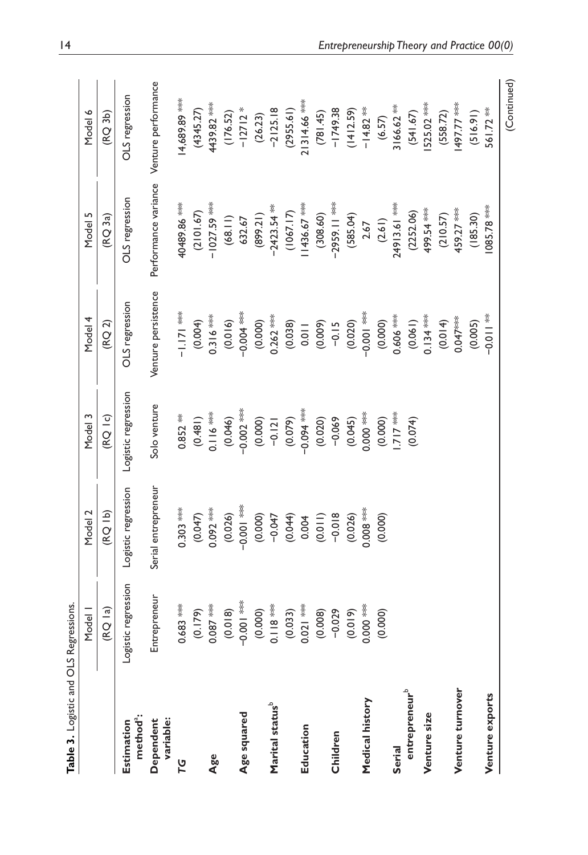<span id="page-13-0"></span>

| Table 3. Logistic and OLS Regressions. |                        |                     |                         |                         |                      |                        |
|----------------------------------------|------------------------|---------------------|-------------------------|-------------------------|----------------------|------------------------|
|                                        | Model I                | Model 2             | Model 3                 | Model 4                 | Model 5              | Model 6                |
|                                        | (RQ la)                | (15)                | $($ RQ $ $ c)           | (RQ2)                   | (RQ3a)               | (RQ3b)                 |
| method <sup>a</sup> :<br>Estimation    | Logistic regression    | Logistic regression | Logistic regression     | OLS regression          | OLS regression       | OLS regression         |
| Dependent<br>variable:                 | Entrepreneur           | Serial entrepreneur | Solo venture            | Venture persistence     | Performance variance | Venture performance    |
| 79                                     | $0.683***$             | $0.303$ ***         | $0.852***$              | $-1.17$                 | 40489.86             | 14,689.89              |
|                                        | (0.179)                | (0.047)             | (0.481)                 | (0.004)                 | (2101.67)            | (4345.27)              |
| Age                                    | $0.087***$             | $0.092$ ***         | $0.116***$              | $0.316***$              | $-1027.59$ ***       | 4439.82                |
|                                        | (0.018)                | (0.026)             | (0.046)                 | (0.016)                 | (68.11)              | (176.52)               |
| Age squared                            | $-0.00$                | $-0.00$             | $-0.002$ ***            | $-0.000$                | 632.67               | $-12712*$              |
|                                        |                        | (0.000)             | (0.000)                 | (0.000)                 | (12.689)             | (26.23)                |
| Marital status <sup>b</sup>            | $(0.000)$<br>0.118 *** | $-0.047$            | $-0.121$                | $0.262$ ***             | $-2423.54$ **        | $-2125.18$             |
|                                        |                        | (0.044)             | $(0.079)$<br>-0.094 *** | (0.038)                 | (1067.17)            | (2955.61)              |
| Education                              | $(0.033)$<br>0.021 *** | 0.004               |                         | 0.011                   | 1436.67***           | 21314.66               |
|                                        | (0.008)                | (0.011)             | (0.020)                 |                         | (308.60)             |                        |
| Children                               | $-0.029$               | $-0.018$            | $-0.069$                | (0.009)                 | $-2959.11$ ***       | $(781.45)$<br>-1749.38 |
|                                        | $(0.019)$<br>0.000 *** | (0.026)             | $(0.045)$<br>0.000 ***  | $(0.020)$<br>-0.001 *** | (585.04)             | (1412.59)              |
| Medical history                        |                        | $0.008**$           |                         |                         | 2.67                 | $-14.82$ <sup>**</sup> |
|                                        | (0.000)                | (0.000)             | (0.000)                 | (0.000)                 | (2.61)               | (6.57)                 |
| Serial                                 |                        |                     | <b>xxx /1/</b>          | $0.606***$              | 24913.61             | $3166.62$ **           |
| entrepreneur <sup>b</sup>              |                        |                     | (0.074)                 | (0.061)                 | (2252.06)            | (541.67)               |
| Venture size                           |                        |                     |                         | $0.134***$              | 499.54 ***           | 525.02 ***             |
|                                        |                        |                     |                         | (0.014)                 | (210.57)             | (558.72)               |
| Venture turnover                       |                        |                     |                         | $0.047***$              | 459.27 ***           | 497.77 ***             |
|                                        |                        |                     |                         | (0.005)                 | (185.30)             | (516.91)               |
| Venture exports                        |                        |                     |                         | $* = 0.01$              | $085.78***$          | 561.72 **              |
|                                        |                        |                     |                         |                         |                      | (Continued)            |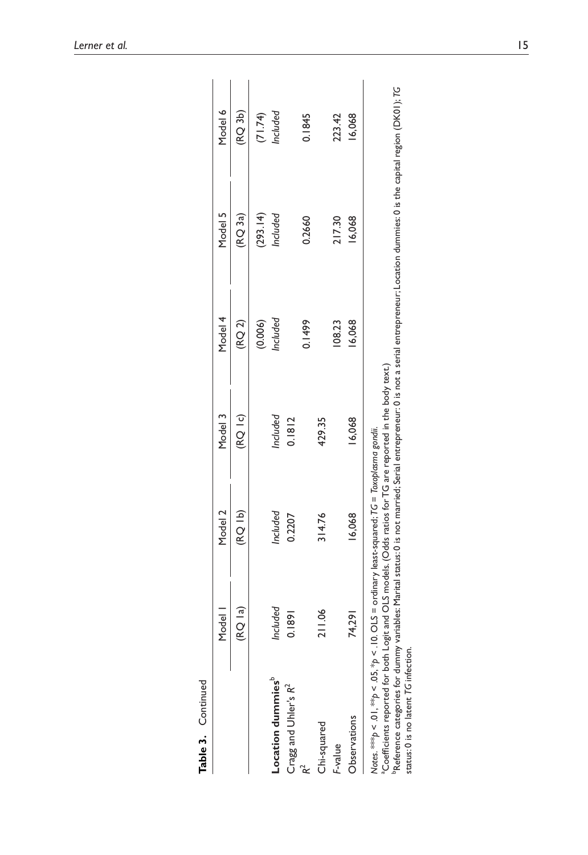| Table 3. Continued                                                                                                                                                                                                                                  |          |                                                 |                          |          |                                                                                                                                             |               |
|-----------------------------------------------------------------------------------------------------------------------------------------------------------------------------------------------------------------------------------------------------|----------|-------------------------------------------------|--------------------------|----------|---------------------------------------------------------------------------------------------------------------------------------------------|---------------|
|                                                                                                                                                                                                                                                     | Model    | Model 2                                         | Model 3                  | Model 4  | Model 5                                                                                                                                     | Model 6       |
|                                                                                                                                                                                                                                                     | (RQ la)  | (RO 1b)                                         | $($ RQ $\overline{1}$ c) | (RQ2)    | (RQ3a)                                                                                                                                      | $($ RQ 3b $)$ |
|                                                                                                                                                                                                                                                     |          |                                                 |                          | (0.006)  | (293.14)                                                                                                                                    | (71.74)       |
| Location dummies <sup>®</sup>                                                                                                                                                                                                                       | Included | Included                                        | Included                 | Included | Included                                                                                                                                    | Included      |
| Cragg and Uhler's R <sup>2</sup>                                                                                                                                                                                                                    | 0.1891   | 0.2207                                          | 0.1812                   |          |                                                                                                                                             |               |
|                                                                                                                                                                                                                                                     |          |                                                 |                          | 0.1499   | 0.2660                                                                                                                                      | 0.1845        |
| Chi-squared                                                                                                                                                                                                                                         | 211.06   | 314.76                                          | 429.35                   |          |                                                                                                                                             |               |
| F-value                                                                                                                                                                                                                                             |          |                                                 |                          | 108.23   | 217.30                                                                                                                                      | 223.42        |
| Observations                                                                                                                                                                                                                                        | 74,291   | 16,068                                          | 16,068                   | 16,068   | 16,068                                                                                                                                      | 16,068        |
| a Coefficients reported for both Logit and OLS models. (Odds ratios for TG are reported in the body text.)<br>Notes. ****p < .01, ***p < .05, *p < .10. OLS =<br>PReference categories for dummy variables:<br>status: 0 is no latent TG infection. |          | ordinary least-squared; TG = Toxoplasma gondii. |                          |          | Marital status: 0 is not married; Serial entrepreneur: 0 is not a serial entrepreneur; Location dummies: 0 is the capital region (DK01); TG |               |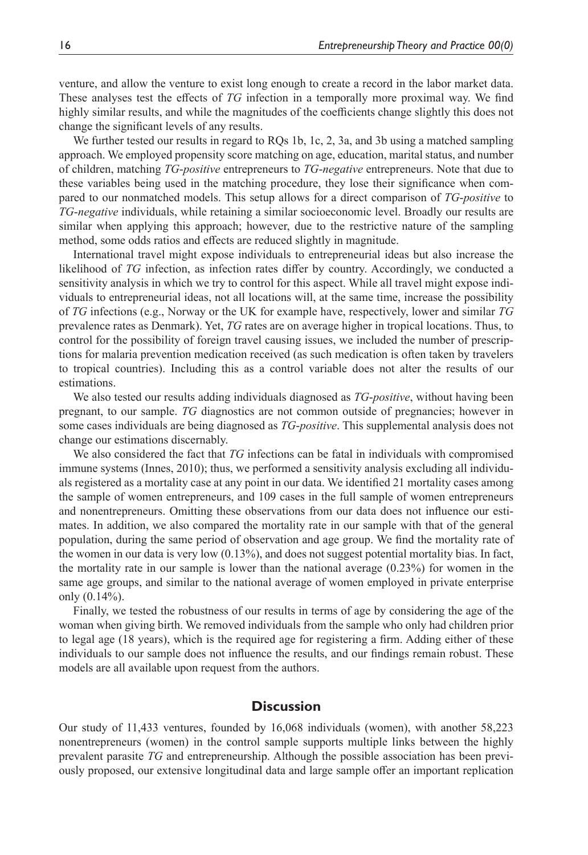venture, and allow the venture to exist long enough to create a record in the labor market data. These analyses test the effects of *TG* infection in a temporally more proximal way. We find highly similar results, and while the magnitudes of the coefficients change slightly this does not change the significant levels of any results.

We further tested our results in regard to RQs 1b, 1c, 2, 3a, and 3b using a matched sampling approach. We employed propensity score matching on age, education, marital status, and number of children, matching *TG*-*positive* entrepreneurs to *TG*-*negative* entrepreneurs. Note that due to these variables being used in the matching procedure, they lose their significance when compared to our nonmatched models. This setup allows for a direct comparison of *TG*-*positive* to *TG*-*negative* individuals, while retaining a similar socioeconomic level. Broadly our results are similar when applying this approach; however, due to the restrictive nature of the sampling method, some odds ratios and effects are reduced slightly in magnitude.

International travel might expose individuals to entrepreneurial ideas but also increase the likelihood of *TG* infection, as infection rates differ by country. Accordingly, we conducted a sensitivity analysis in which we try to control for this aspect. While all travel might expose individuals to entrepreneurial ideas, not all locations will, at the same time, increase the possibility of *TG* infections (e.g., Norway or the UK for example have, respectively, lower and similar *TG* prevalence rates as Denmark). Yet, *TG* rates are on average higher in tropical locations. Thus, to control for the possibility of foreign travel causing issues, we included the number of prescriptions for malaria prevention medication received (as such medication is often taken by travelers to tropical countries). Including this as a control variable does not alter the results of our estimations.

We also tested our results adding individuals diagnosed as *TG*-*positive*, without having been pregnant, to our sample. *TG* diagnostics are not common outside of pregnancies; however in some cases individuals are being diagnosed as *TG*-*positive*. This supplemental analysis does not change our estimations discernably.

We also considered the fact that *TG* infections can be fatal in individuals with compromised immune systems [\(Innes, 2010\)](#page-22-14); thus, we performed a sensitivity analysis excluding all individuals registered as a mortality case at any point in our data. We identified 21 mortality cases among the sample of women entrepreneurs, and 109 cases in the full sample of women entrepreneurs and nonentrepreneurs. Omitting these observations from our data does not influence our estimates. In addition, we also compared the mortality rate in our sample with that of the general population, during the same period of observation and age group. We find the mortality rate of the women in our data is very low (0.13%), and does not suggest potential mortality bias. In fact, the mortality rate in our sample is lower than the national average (0.23%) for women in the same age groups, and similar to the national average of women employed in private enterprise only (0.14%).

Finally, we tested the robustness of our results in terms of age by considering the age of the woman when giving birth. We removed individuals from the sample who only had children prior to legal age (18 years), which is the required age for registering a firm. Adding either of these individuals to our sample does not influence the results, and our findings remain robust. These models are all available upon request from the authors.

### **Discussion**

Our study of 11,433 ventures, founded by 16,068 individuals (women), with another 58,223 nonentrepreneurs (women) in the control sample supports multiple links between the highly prevalent parasite *TG* and entrepreneurship. Although the possible association has been previously proposed, our extensive longitudinal data and large sample offer an important replication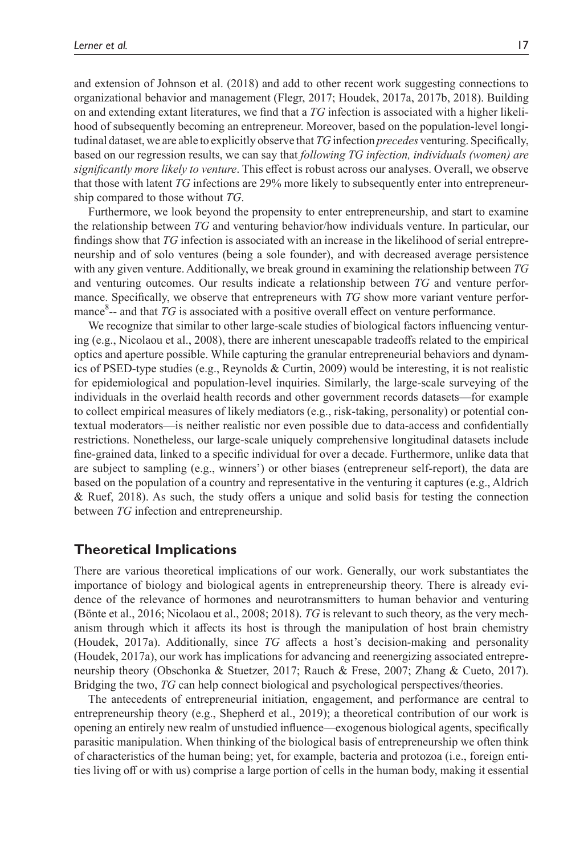and extension of [Johnson et](#page-22-6) al. (2018) and add to other recent work suggesting connections to organizational behavior and management ([Flegr, 2017;](#page-21-6) [Houdek, 2017a,](#page-22-8) [2017b,](#page-22-10) [2018\)](#page-22-15). Building on and extending extant literatures, we find that a *TG* infection is associated with a higher likelihood of subsequently becoming an entrepreneur. Moreover, based on the population-level longitudinal dataset, we are able to explicitly observe that *TG* infection *precedes* venturing. Specifically, based on our regression results, we can say that *following TG infection, individuals (women) are significantly more likely to venture*. This effect is robust across our analyses. Overall, we observe that those with latent *TG* infections are 29% more likely to subsequently enter into entrepreneurship compared to those without *TG*.

Furthermore, we look beyond the propensity to enter entrepreneurship, and start to examine the relationship between *TG* and venturing behavior/how individuals venture. In particular, our findings show that *TG* infection is associated with an increase in the likelihood of serial entrepreneurship and of solo ventures (being a sole founder), and with decreased average persistence with any given venture. Additionally, we break ground in examining the relationship between *TG* and venturing outcomes. Our results indicate a relationship between *TG* and venture performance. Specifically, we observe that entrepreneurs with *TG* show more variant venture performance<sup>8</sup>-- and that TG is associated with a positive overall effect on venture performance.

We recognize that similar to other large-scale studies of biological factors influencing venturing (e.g., [Nicolaou et](#page-23-2) al., 2008), there are inherent unescapable tradeoffs related to the empirical optics and aperture possible. While capturing the granular entrepreneurial behaviors and dynamics of PSED-type studies (e.g., [Reynolds & Curtin, 2009\)](#page-23-14) would be interesting, it is not realistic for epidemiological and population-level inquiries. Similarly, the large-scale surveying of the individuals in the overlaid health records and other government records datasets—for example to collect empirical measures of likely mediators (e.g., risk-taking, personality) or potential contextual moderators—is neither realistic nor even possible due to data-access and confidentially restrictions. Nonetheless, our large-scale uniquely comprehensive longitudinal datasets include fine-grained data, linked to a specific individual for over a decade. Furthermore, unlike data that are subject to sampling (e.g., winners') or other biases (entrepreneur self-report), the data are based on the population of a country and representative in the venturing it captures (e.g., [Aldrich](#page-20-6) [& Ruef, 2018](#page-20-6)). As such, the study offers a unique and solid basis for testing the connection between *TG* infection and entrepreneurship.

## **Theoretical Implications**

There are various theoretical implications of our work. Generally, our work substantiates the importance of biology and biological agents in entrepreneurship theory. There is already evidence of the relevance of hormones and neurotransmitters to human behavior and venturing (Bönte et [al., 2016;](#page-20-2) [Nicolaou et](#page-23-2) al., 2008; [2018\)](#page-23-3). *TG* is relevant to such theory, as the very mechanism through which it affects its host is through the manipulation of host brain chemistry ([Houdek, 2017a](#page-22-8)). Additionally, since *TG* affects a host's decision-making and personality ([Houdek, 2017a\)](#page-22-8), our work has implications for advancing and reenergizing associated entrepreneurship theory ([Obschonka & Stuetzer, 2017](#page-23-10); [Rauch & Frese, 2007;](#page-23-1) [Zhang & Cueto, 2017\)](#page-25-0). Bridging the two, *TG* can help connect biological and psychological perspectives/theories.

The antecedents of entrepreneurial initiation, engagement, and performance are central to entrepreneurship theory (e.g., [Shepherd et](#page-24-11) al., 2019); a theoretical contribution of our work is opening an entirely new realm of unstudied influence—exogenous biological agents, specifically parasitic manipulation. When thinking of the biological basis of entrepreneurship we often think of characteristics of the human being; yet, for example, bacteria and protozoa (i.e., foreign entities living off or with us) comprise a large portion of cells in the human body, making it essential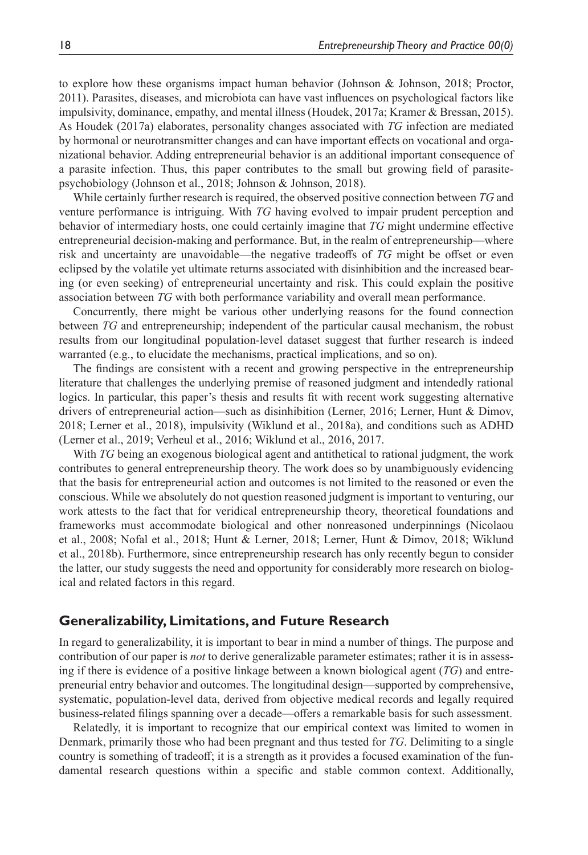to explore how these organisms impact human behavior ([Johnson & Johnson, 2018;](#page-22-16) [Proctor,](#page-23-15)  [2011](#page-23-15)). Parasites, diseases, and microbiota can have vast influences on psychological factors like impulsivity, dominance, empathy, and mental illness ([Houdek, 2017a](#page-22-8); [Kramer & Bressan, 2015\)](#page-22-17). As [Houdek \(2017a\)](#page-22-8) elaborates, personality changes associated with *TG* infection are mediated by hormonal or neurotransmitter changes and can have important effects on vocational and organizational behavior. Adding entrepreneurial behavior is an additional important consequence of a parasite infection. Thus, this paper contributes to the small but growing field of parasitepsychobiology [\(Johnson et](#page-22-6) al., 2018; [Johnson & Johnson, 2018\)](#page-22-16).

While certainly further research is required, the observed positive connection between *TG* and venture performance is intriguing. With *TG* having evolved to impair prudent perception and behavior of intermediary hosts, one could certainly imagine that *TG* might undermine effective entrepreneurial decision-making and performance. But, in the realm of entrepreneurship—where risk and uncertainty are unavoidable—the negative tradeoffs of *TG* might be offset or even eclipsed by the volatile yet ultimate returns associated with disinhibition and the increased bearing (or even seeking) of entrepreneurial uncertainty and risk. This could explain the positive association between *TG* with both performance variability and overall mean performance.

Concurrently, there might be various other underlying reasons for the found connection between *TG* and entrepreneurship; independent of the particular causal mechanism, the robust results from our longitudinal population-level dataset suggest that further research is indeed warranted (e.g., to elucidate the mechanisms, practical implications, and so on).

The findings are consistent with a recent and growing perspective in the entrepreneurship literature that challenges the underlying premise of reasoned judgment and intendedly rational logics. In particular, this paper's thesis and results fit with recent work suggesting alternative drivers of entrepreneurial action—such as disinhibition ([Lerner, 2016](#page-22-18); [Lerner, Hunt & Dimov,](#page-22-4)  [2018;](#page-22-4) [Lerner et](#page-22-5) al., 2018), impulsivity [\(Wiklund et](#page-24-17) al., 2018a), and conditions such as ADHD ([Lerner et](#page-22-2) al., 2019; [Verheul et](#page-24-3) al., 2016; [Wiklund et](#page-24-2) al., 2016, [2017](#page-24-18).

With *TG* being an exogenous biological agent and antithetical to rational judgment, the work contributes to general entrepreneurship theory. The work does so by unambiguously evidencing that the basis for entrepreneurial action and outcomes is not limited to the reasoned or even the conscious. While we absolutely do not question reasoned judgment is important to venturing, our work attests to the fact that for veridical entrepreneurship theory, theoretical foundations and frameworks must accommodate biological and other nonreasoned underpinnings [\(Nicolaou](#page-23-2)  et [al., 2008;](#page-23-2) Nofal et [al., 2018;](#page-23-0) [Hunt & Lerner, 2018;](#page-22-3) [Lerner, Hunt & Dimov, 2018](#page-22-4); [Wiklund](#page-24-19)  et [al., 2018b](#page-24-19)). Furthermore, since entrepreneurship research has only recently begun to consider the latter, our study suggests the need and opportunity for considerably more research on biological and related factors in this regard.

## **Generalizability, Limitations, and Future Research**

In regard to generalizability, it is important to bear in mind a number of things. The purpose and contribution of our paper is *not* to derive generalizable parameter estimates; rather it is in assessing if there is evidence of a positive linkage between a known biological agent (*TG*) and entrepreneurial entry behavior and outcomes. The longitudinal design—supported by comprehensive, systematic, population-level data, derived from objective medical records and legally required business-related filings spanning over a decade—offers a remarkable basis for such assessment.

Relatedly, it is important to recognize that our empirical context was limited to women in Denmark, primarily those who had been pregnant and thus tested for *TG*. Delimiting to a single country is something of tradeoff; it is a strength as it provides a focused examination of the fundamental research questions within a specific and stable common context. Additionally,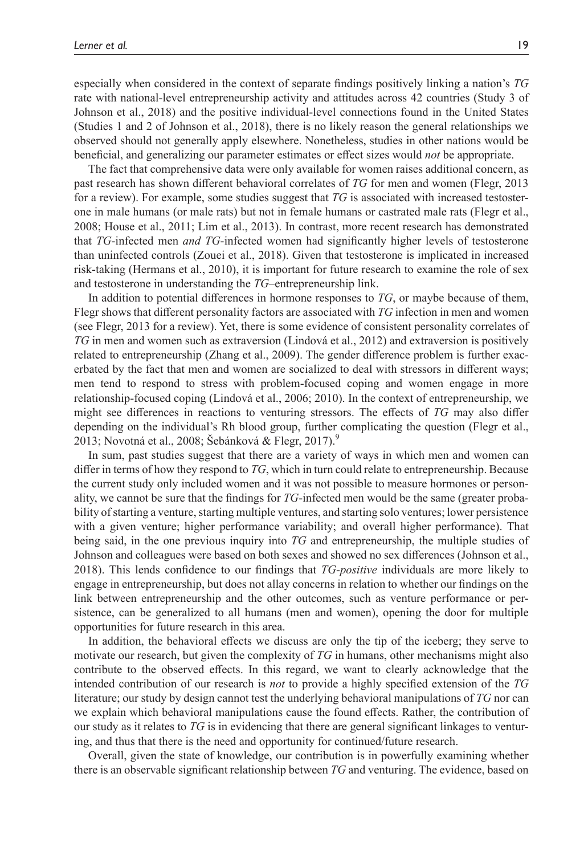especially when considered in the context of separate findings positively linking a nation's *TG* rate with national-level entrepreneurship activity and attitudes across 42 countries (Study 3 of [Johnson et](#page-22-6) al., 2018) and the positive individual-level connections found in the United States (Studies 1 and 2 of [Johnson et](#page-22-6) al., 2018), there is no likely reason the general relationships we observed should not generally apply elsewhere. Nonetheless, studies in other nations would be beneficial, and generalizing our parameter estimates or effect sizes would *not* be appropriate.

The fact that comprehensive data were only available for women raises additional concern, as past research has shown different behavioral correlates of *TG* for men and women [\(Flegr, 2013](#page-21-5) for a review). For example, some studies suggest that *TG* is associated with increased testosterone in male humans (or male rats) but not in female humans or castrated male rats ([Flegr et](#page-21-8) al., [2008](#page-21-8); [House et](#page-22-19) al., 2011; Lim et [al., 2013\)](#page-22-20). In contrast, more recent research has demonstrated that *TG*-infected men *and TG*-infected women had significantly higher levels of testosterone than uninfected controls (Zouei et [al., 2018\)](#page-25-1). Given that testosterone is implicated in increased risk-taking ([Hermans et](#page-22-21) al., 2010), it is important for future research to examine the role of sex and testosterone in understanding the *TG*–entrepreneurship link.

In addition to potential differences in hormone responses to *TG*, or maybe because of them, Flegr shows that different personality factors are associated with *TG* infection in men and women (see [Flegr, 2013](#page-21-5) for a review). Yet, there is some evidence of consistent personality correlates of *TG* in men and women such as extraversion ([Lindová et](#page-23-8) al., 2012) and extraversion is positively related to entrepreneurship [\(Zhang et](#page-25-2) al., 2009). The gender difference problem is further exacerbated by the fact that men and women are socialized to deal with stressors in different ways; men tend to respond to stress with problem-focused coping and women engage in more relationship-focused coping ([Lindová et](#page-23-16) al., 2006; [2010](#page-23-13)). In the context of entrepreneurship, we might see differences in reactions to venturing stressors. The effects of *TG* may also differ depending on the individual's Rh blood group, further complicating the question [\(Flegr et](#page-21-19) al., [2013](#page-21-19); [Novotná et](#page-23-17) al., 2008; [Šebánková & Flegr, 2017\)](#page-24-20).<sup>9</sup>

In sum, past studies suggest that there are a variety of ways in which men and women can differ in terms of how they respond to *TG*, which in turn could relate to entrepreneurship. Because the current study only included women and it was not possible to measure hormones or personality, we cannot be sure that the findings for *TG*-infected men would be the same (greater probability of starting a venture, starting multiple ventures, and starting solo ventures; lower persistence with a given venture; higher performance variability; and overall higher performance). That being said, in the one previous inquiry into *TG* and entrepreneurship, the multiple studies of Johnson and colleagues were based on both sexes and showed no sex differences ([Johnson et](#page-22-6) al., [2018](#page-22-6)). This lends confidence to our findings that *TG*-*positive* individuals are more likely to engage in entrepreneurship, but does not allay concerns in relation to whether our findings on the link between entrepreneurship and the other outcomes, such as venture performance or persistence, can be generalized to all humans (men and women), opening the door for multiple opportunities for future research in this area.

In addition, the behavioral effects we discuss are only the tip of the iceberg; they serve to motivate our research, but given the complexity of *TG* in humans, other mechanisms might also contribute to the observed effects. In this regard, we want to clearly acknowledge that the intended contribution of our research is *not* to provide a highly specified extension of the *TG* literature; our study by design cannot test the underlying behavioral manipulations of *TG* nor can we explain which behavioral manipulations cause the found effects. Rather, the contribution of our study as it relates to *TG* is in evidencing that there are general significant linkages to venturing, and thus that there is the need and opportunity for continued/future research.

Overall, given the state of knowledge, our contribution is in powerfully examining whether there is an observable significant relationship between *TG* and venturing. The evidence, based on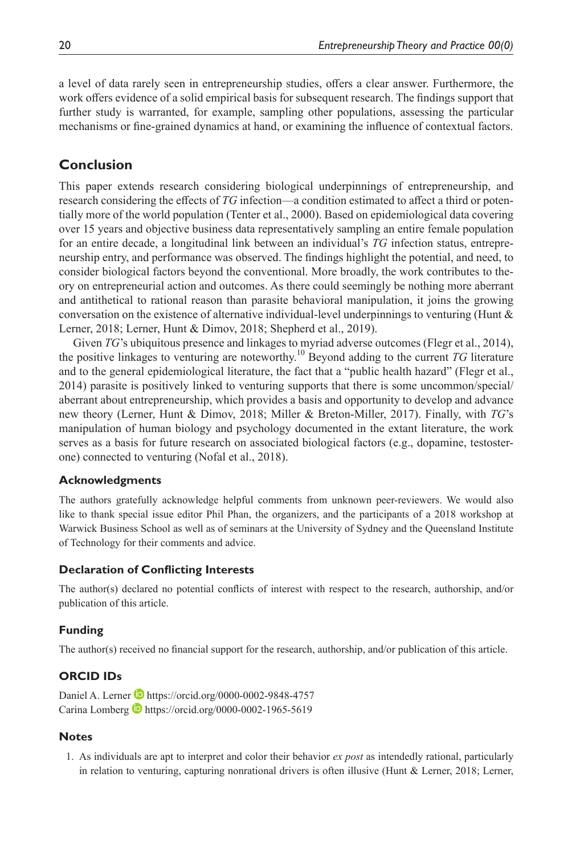a level of data rarely seen in entrepreneurship studies, offers a clear answer. Furthermore, the work offers evidence of a solid empirical basis for subsequent research. The findings support that further study is warranted, for example, sampling other populations, assessing the particular mechanisms or fine-grained dynamics at hand, or examining the influence of contextual factors.

# **Conclusion**

This paper extends research considering biological underpinnings of entrepreneurship, and research considering the effects of *TG* infection—a condition estimated to affect a third or potentially more of the world population ([Tenter et](#page-24-0) al., 2000). Based on epidemiological data covering over 15 years and objective business data representatively sampling an entire female population for an entire decade, a longitudinal link between an individual's *TG* infection status, entrepreneurship entry, and performance was observed. The findings highlight the potential, and need, to consider biological factors beyond the conventional. More broadly, the work contributes to theory on entrepreneurial action and outcomes. As there could seemingly be nothing more aberrant and antithetical to rational reason than parasite behavioral manipulation, it joins the growing conversation on the existence of alternative individual-level underpinnings to venturing (Hunt  $\&$ [Lerner, 2018;](#page-22-3) [Lerner, Hunt & Dimov, 2018](#page-22-4); [Shepherd et](#page-24-11) al., 2019).

Given *TG*'s ubiquitous presence and linkages to myriad adverse outcomes (Flegr et [al., 2014\)](#page-21-20), the positive linkages to venturing are noteworthy.<sup>10</sup> Beyond adding to the current *TG* literature and to the general epidemiological literature, the fact that a "public health hazard" ([Flegr et](#page-21-20) al., [2014](#page-21-20)) parasite is positively linked to venturing supports that there is some uncommon/special/ aberrant about entrepreneurship, which provides a basis and opportunity to develop and advance new theory [\(Lerner, Hunt & Dimov, 2018](#page-22-4); [Miller & Breton-Miller, 2017](#page-23-18)). Finally, with *TG*'s manipulation of human biology and psychology documented in the extant literature, the work serves as a basis for future research on associated biological factors (e.g., dopamine, testosterone) connected to venturing (Nofal et [al., 2018](#page-23-0)).

## **Acknowledgments**

The authors gratefully acknowledge helpful comments from unknown peer-reviewers. We would also like to thank special issue editor Phil Phan, the organizers, and the participants of a 2018 workshop at Warwick Business School as well as of seminars at the University of Sydney and the Queensland Institute of Technology for their comments and advice.

## **Declaration of Conflicting Interests**

The author(s) declared no potential conflicts of interest with respect to the research, authorship, and/or publication of this article.

# **Funding**

The author(s) received no financial support for the research, authorship, and/or publication of this article.

## **ORCID IDs**

Daniel A. Lerner **b** <https://orcid.org/0000-0002-9848-4757> Carina Lomberg **b** <https://orcid.org/0000-0002-1965-5619>

## **Notes**

<span id="page-19-0"></span>1. As individuals are apt to interpret and color their behavior *ex post* as intendedly rational, particularly in relation to venturing, capturing nonrational drivers is often illusive ([Hunt & Lerner, 2018;](#page-22-3) [Lerner,](#page-22-4)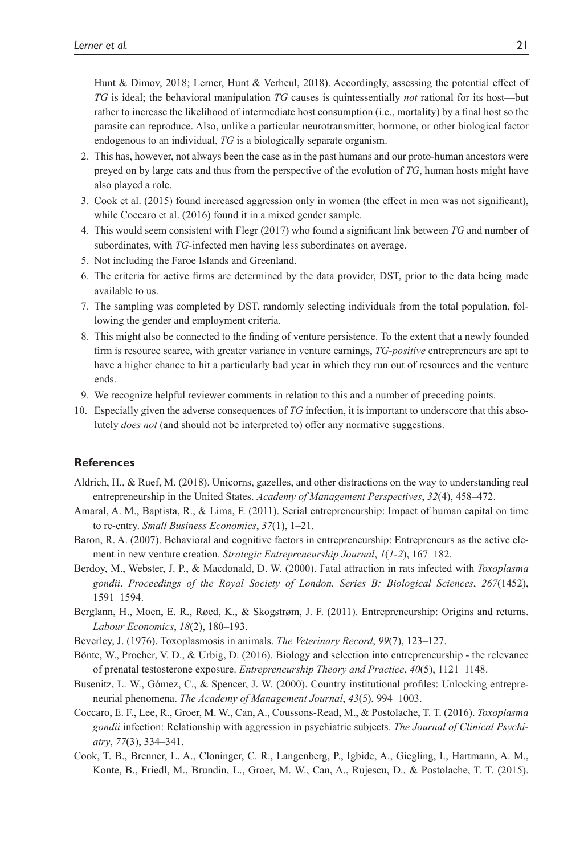[Hunt & Dimov, 2018;](#page-22-4) [Lerner, Hunt & Verheul, 2018](#page-22-5)). Accordingly, assessing the potential effect of *TG* is ideal; the behavioral manipulation *TG* causes is quintessentially *not* rational for its host—but rather to increase the likelihood of intermediate host consumption (i.e., mortality) by a final host so the parasite can reproduce. Also, unlike a particular neurotransmitter, hormone, or other biological factor endogenous to an individual, *TG* is a biologically separate organism.

- <span id="page-20-5"></span>2. This has, however, not always been the case as in the past humans and our proto-human ancestors were preyed on by large cats and thus from the perspective of the evolution of *TG*, human hosts might have also played a role.
- <span id="page-20-10"></span>3. Cook et [al. \(2015\)](#page-20-9) found increased aggression only in women (the effect in men was not significant), while [Coccaro et](#page-20-8) al. (2016) found it in a mixed gender sample.
- <span id="page-20-11"></span>4. This would seem consistent with [Flegr \(2017\)](#page-21-6) who found a significant link between *TG* and number of subordinates, with *TG*-infected men having less subordinates on average.
- <span id="page-20-12"></span>5. Not including the Faroe Islands and Greenland.
- <span id="page-20-13"></span>6. The criteria for active firms are determined by the data provider, DST, prior to the data being made available to us.
- <span id="page-20-14"></span>7. The sampling was completed by DST, randomly selecting individuals from the total population, following the gender and employment criteria.
- <span id="page-20-16"></span>8. This might also be connected to the finding of venture persistence. To the extent that a newly founded firm is resource scarce, with greater variance in venture earnings, *TG-positive* entrepreneurs are apt to have a higher chance to hit a particularly bad year in which they run out of resources and the venture ends.
- <span id="page-20-18"></span><span id="page-20-17"></span>9. We recognize helpful reviewer comments in relation to this and a number of preceding points.
- 10. Especially given the adverse consequences of *TG* infection, it is important to underscore that this absolutely *does not* (and should not be interpreted to) offer any normative suggestions.

### **References**

- <span id="page-20-6"></span>Aldrich, H., & Ruef, M. (2018). Unicorns, gazelles, and other distractions on the way to understanding real entrepreneurship in the United States. *Academy of Management Perspectives*, *32*(4), 458–472.
- <span id="page-20-7"></span>Amaral, A. M., Baptista, R., & Lima, F. (2011). Serial entrepreneurship: Impact of human capital on time to re-entry. *Small Business Economics*, *37*(1), 1–21.
- <span id="page-20-1"></span>Baron, R. A. (2007). Behavioral and cognitive factors in entrepreneurship: Entrepreneurs as the active element in new venture creation. *Strategic Entrepreneurship Journal*, *1*(*1-2*), 167–182.
- <span id="page-20-4"></span>Berdoy, M., Webster, J. P., & Macdonald, D. W. (2000). Fatal attraction in rats infected with *Toxoplasma gondii*. *Proceedings of the Royal Society of London. Series B: Biological Sciences*, *267*(1452), 1591–1594.
- <span id="page-20-15"></span>Berglann, H., Moen, E. R., Røed, K., & Skogstrøm, J. F. (2011). Entrepreneurship: Origins and returns. *Labour Economics*, *18*(2), 180–193.
- <span id="page-20-3"></span>Beverley, J. (1976). Toxoplasmosis in animals. *The Veterinary Record*, *99*(7), 123–127.
- <span id="page-20-2"></span>Bönte, W., Procher, V. D., & Urbig, D. (2016). Biology and selection into entrepreneurship - the relevance of prenatal testosterone exposure. *Entrepreneurship Theory and Practice*, *40*(5), 1121–1148.
- <span id="page-20-0"></span>Busenitz, L. W., Gómez, C., & Spencer, J. W. (2000). Country institutional profiles: Unlocking entrepreneurial phenomena. *The Academy of Management Journal*, *43*(5), 994–1003.
- <span id="page-20-8"></span>Coccaro, E. F., Lee, R., Groer, M. W., Can, A., Coussons-Read, M., & Postolache, T. T. (2016). *Toxoplasma gondii* infection: Relationship with aggression in psychiatric subjects. *The Journal of Clinical Psychiatry*, *77*(3), 334–341.
- <span id="page-20-9"></span>Cook, T. B., Brenner, L. A., Cloninger, C. R., Langenberg, P., Igbide, A., Giegling, I., Hartmann, A. M., Konte, B., Friedl, M., Brundin, L., Groer, M. W., Can, A., Rujescu, D., & Postolache, T. T. (2015).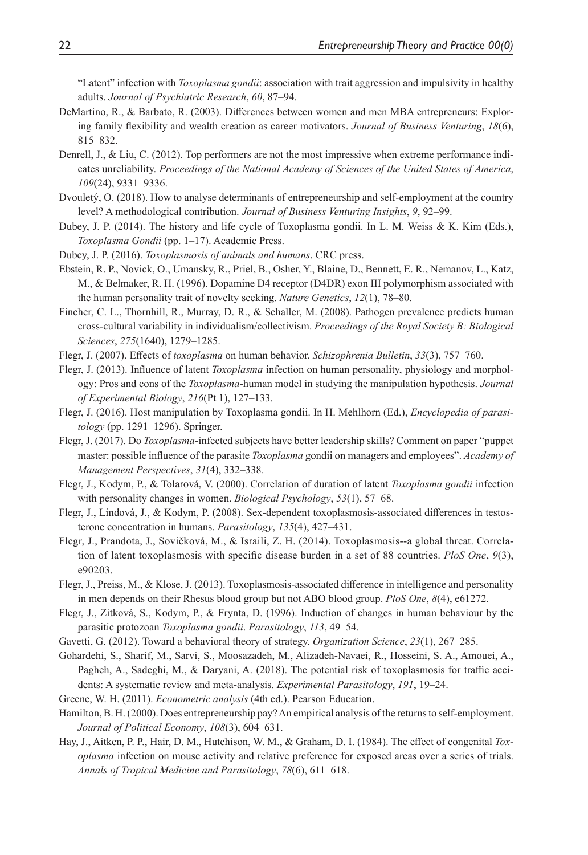"Latent" infection with *Toxoplasma gondii*: association with trait aggression and impulsivity in healthy adults. *Journal of Psychiatric Research*, *60*, 87–94.

- <span id="page-21-17"></span>DeMartino, R., & Barbato, R. (2003). Differences between women and men MBA entrepreneurs: Exploring family flexibility and wealth creation as career motivators. *Journal of Business Venturing*, *18*(6), 815–832.
- <span id="page-21-14"></span>Denrell, J., & Liu, C. (2012). Top performers are not the most impressive when extreme performance indicates unreliability. *Proceedings of the National Academy of Sciences of the United States of America*, *109*(24), 9331–9336.
- <span id="page-21-16"></span>Dvouletý, O. (2018). How to analyse determinants of entrepreneurship and self-employment at the country level? A methodological contribution. *Journal of Business Venturing Insights*, *9*, 92–99.
- <span id="page-21-1"></span>Dubey, J. P. (2014). The history and life cycle of Toxoplasma gondii. In L. M. Weiss & K. Kim (Eds.), *Toxoplasma Gondii* (pp. 1–17). Academic Press.
- <span id="page-21-2"></span>Dubey, J. P. (2016). *Toxoplasmosis of animals and humans*. CRC press.
- <span id="page-21-4"></span>Ebstein, R. P., Novick, O., Umansky, R., Priel, B., Osher, Y., Blaine, D., Bennett, E. R., Nemanov, L., Katz, M., & Belmaker, R. H. (1996). Dopamine D4 receptor (D4DR) exon III polymorphism associated with the human personality trait of novelty seeking. *Nature Genetics*, *12*(1), 78–80.
- <span id="page-21-0"></span>Fincher, C. L., Thornhill, R., Murray, D. R., & Schaller, M. (2008). Pathogen prevalence predicts human cross-cultural variability in individualism/collectivism. *Proceedings of the Royal Society B: Biological Sciences*, *275*(1640), 1279–1285.
- <span id="page-21-11"></span>Flegr, J. (2007). Effects of *toxoplasma* on human behavior. *Schizophrenia Bulletin*, *33*(3), 757–760.
- <span id="page-21-5"></span>Flegr, J. (2013). Influence of latent *Toxoplasma* infection on human personality, physiology and morphology: Pros and cons of the *Toxoplasma*-human model in studying the manipulation hypothesis. *Journal of Experimental Biology*, *216*(Pt 1), 127–133.
- <span id="page-21-12"></span>Flegr, J. (2016). Host manipulation by Toxoplasma gondii. In H. Mehlhorn (Ed.), *Encyclopedia of parasitology* (pp. 1291–1296). Springer.
- <span id="page-21-6"></span>Flegr, J. (2017). Do *Toxoplasma*-infected subjects have better leadership skills? Comment on paper "puppet master: possible influence of the parasite *Toxoplasma* gondii on managers and employees". *Academy of Management Perspectives*, *31*(4), 332–338.
- <span id="page-21-10"></span>Flegr, J., Kodym, P., & Tolarová, V. (2000). Correlation of duration of latent *Toxoplasma gondii* infection with personality changes in women. *Biological Psychology*, *53*(1), 57–68.
- <span id="page-21-8"></span>Flegr, J., Lindová, J., & Kodym, P. (2008). Sex-dependent toxoplasmosis-associated differences in testosterone concentration in humans. *Parasitology*, *135*(4), 427–431.
- <span id="page-21-20"></span>Flegr, J., Prandota, J., Sovičková, M., & Israili, Z. H. (2014). Toxoplasmosis--a global threat. Correlation of latent toxoplasmosis with specific disease burden in a set of 88 countries. *PloS One*, *9*(3), e90203.
- <span id="page-21-19"></span>Flegr, J., Preiss, M., & Klose, J. (2013). Toxoplasmosis-associated difference in intelligence and personality in men depends on their Rhesus blood group but not ABO blood group. *PloS One*, *8*(4), e61272.
- <span id="page-21-9"></span>Flegr, J., Zitková, S., Kodym, P., & Frynta, D. (1996). Induction of changes in human behaviour by the parasitic protozoan *Toxoplasma gondii*. *Parasitology*, *113*, 49–54.
- <span id="page-21-13"></span>Gavetti, G. (2012). Toward a behavioral theory of strategy. *Organization Science*, *23*(1), 267–285.
- <span id="page-21-7"></span>Gohardehi, S., Sharif, M., Sarvi, S., Moosazadeh, M., Alizadeh-Navaei, R., Hosseini, S. A., Amouei, A., Pagheh, A., Sadeghi, M., & Daryani, A. (2018). The potential risk of toxoplasmosis for traffic accidents: A systematic review and meta-analysis. *Experimental Parasitology*, *191*, 19–24.
- <span id="page-21-18"></span>Greene, W. H. (2011). *Econometric analysis* (4th ed.). Pearson Education.
- <span id="page-21-15"></span>Hamilton, B. H. (2000). Does entrepreneurship pay? An empirical analysis of the returns to self-employment. *Journal of Political Economy*, *108*(3), 604–631.
- <span id="page-21-3"></span>Hay, J., Aitken, P. P., Hair, D. M., Hutchison, W. M., & Graham, D. I. (1984). The effect of congenital *Toxoplasma* infection on mouse activity and relative preference for exposed areas over a series of trials. *Annals of Tropical Medicine and Parasitology*, *78*(6), 611–618.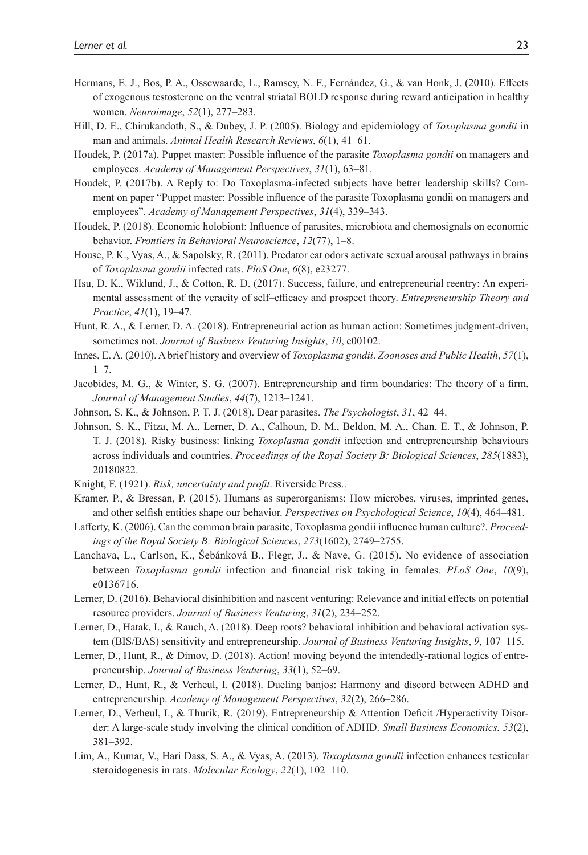- <span id="page-22-21"></span>Hermans, E. J., Bos, P. A., Ossewaarde, L., Ramsey, N. F., Fernández, G., & van Honk, J. (2010). Effects of exogenous testosterone on the ventral striatal BOLD response during reward anticipation in healthy women. *Neuroimage*, *52*(1), 277–283.
- <span id="page-22-7"></span>Hill, D. E., Chirukandoth, S., & Dubey, J. P. (2005). Biology and epidemiology of *Toxoplasma gondii* in man and animals. *Animal Health Research Reviews*, *6*(1), 41–61.
- <span id="page-22-8"></span>Houdek, P. (2017a). Puppet master: Possible influence of the parasite *Toxoplasma gondii* on managers and employees. *Academy of Management Perspectives*, *31*(1), 63–81.
- <span id="page-22-10"></span>Houdek, P. (2017b). A Reply to: Do Toxoplasma-infected subjects have better leadership skills? Comment on paper "Puppet master: Possible influence of the parasite Toxoplasma gondii on managers and employees". *Academy of Management Perspectives*, *31*(4), 339–343.
- <span id="page-22-15"></span>Houdek, P. (2018). Economic holobiont: Influence of parasites, microbiota and chemosignals on economic behavior. *Frontiers in Behavioral Neuroscience*, *12*(77), 1–8.
- <span id="page-22-19"></span>House, P. K., Vyas, A., & Sapolsky, R. (2011). Predator cat odors activate sexual arousal pathways in brains of *Toxoplasma gondii* infected rats. *PloS One*, *6*(8), e23277.
- <span id="page-22-0"></span>Hsu, D. K., Wiklund, J., & Cotton, R. D. (2017). Success, failure, and entrepreneurial reentry: An experimental assessment of the veracity of self–efficacy and prospect theory. *Entrepreneurship Theory and Practice*, *41*(1), 19–47.
- <span id="page-22-3"></span>Hunt, R. A., & Lerner, D. A. (2018). Entrepreneurial action as human action: Sometimes judgment-driven, sometimes not. *Journal of Business Venturing Insights*, *10*, e00102.
- <span id="page-22-14"></span>Innes, E. A. (2010). A brief history and overview of *Toxoplasma gondii*. *Zoonoses and Public Health*, *57*(1), 1–7.
- <span id="page-22-12"></span>Jacobides, M. G., & Winter, S. G. (2007). Entrepreneurship and firm boundaries: The theory of a firm. *Journal of Management Studies*, *44*(7), 1213–1241.
- <span id="page-22-16"></span>Johnson, S. K., & Johnson, P. T. J. (2018). Dear parasites. *The Psychologist*, *31*, 42–44.
- <span id="page-22-6"></span>Johnson, S. K., Fitza, M. A., Lerner, D. A., Calhoun, D. M., Beldon, M. A., Chan, E. T., & Johnson, P. T. J. (2018). Risky business: linking *Toxoplasma gondii* infection and entrepreneurship behaviours across individuals and countries. *Proceedings of the Royal Society B: Biological Sciences*, *285*(1883), 20180822.
- <span id="page-22-13"></span>Knight, F. (1921). *Risk, uncertainty and profit*. Riverside Press..
- <span id="page-22-17"></span>Kramer, P., & Bressan, P. (2015). Humans as superorganisms: How microbes, viruses, imprinted genes, and other selfish entities shape our behavior. *Perspectives on Psychological Science*, *10*(4), 464–481.
- <span id="page-22-9"></span>Lafferty, K. (2006). Can the common brain parasite, Toxoplasma gondii influence human culture?. *Proceedings of the Royal Society B: Biological Sciences*, *273*(1602), 2749–2755.
- <span id="page-22-11"></span>Lanchava, L., Carlson, K., Šebánková B., Flegr, J., & Nave, G. (2015). No evidence of association between *Toxoplasma gondii* infection and financial risk taking in females. *PLoS One*, *10*(9), e0136716.
- <span id="page-22-18"></span>Lerner, D. (2016). Behavioral disinhibition and nascent venturing: Relevance and initial effects on potential resource providers. *Journal of Business Venturing*, *31*(2), 234–252.
- <span id="page-22-1"></span>Lerner, D., Hatak, I., & Rauch, A. (2018). Deep roots? behavioral inhibition and behavioral activation system (BIS/BAS) sensitivity and entrepreneurship. *Journal of Business Venturing Insights*, *9*, 107–115.
- <span id="page-22-4"></span>Lerner, D., Hunt, R., & Dimov, D. (2018). Action! moving beyond the intendedly-rational logics of entrepreneurship. *Journal of Business Venturing*, *33*(1), 52–69.
- <span id="page-22-5"></span>Lerner, D., Hunt, R., & Verheul, I. (2018). Dueling banjos: Harmony and discord between ADHD and entrepreneurship. *Academy of Management Perspectives*, *32*(2), 266–286.
- <span id="page-22-2"></span>Lerner, D., Verheul, I., & Thurik, R. (2019). Entrepreneurship & Attention Deficit /Hyperactivity Disorder: A large-scale study involving the clinical condition of ADHD. *Small Business Economics*, *53*(2), 381–392.
- <span id="page-22-20"></span>Lim, A., Kumar, V., Hari Dass, S. A., & Vyas, A. (2013). *Toxoplasma gondii* infection enhances testicular steroidogenesis in rats. *Molecular Ecology*, *22*(1), 102–110.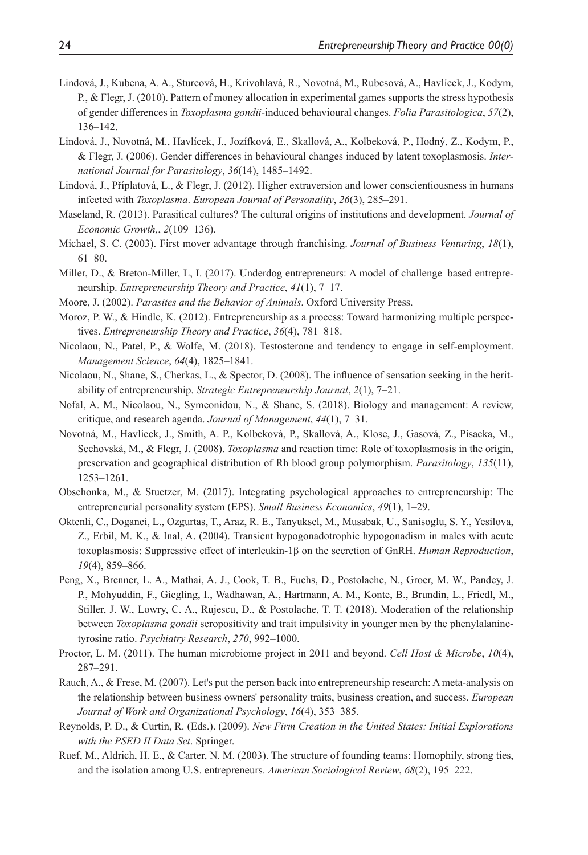- <span id="page-23-13"></span>Lindová, J., Kubena, A. A., Sturcová, H., Krivohlavá, R., Novotná, M., Rubesová, A., Havlícek, J., Kodym, P., & Flegr, J. (2010). Pattern of money allocation in experimental games supports the stress hypothesis of gender differences in *Toxoplasma gondii*-induced behavioural changes. *Folia Parasitologica*, *57*(2), 136–142.
- <span id="page-23-16"></span>Lindová, J., Novotná, M., Havlícek, J., Jozífková, E., Skallová, A., Kolbeková, P., Hodný, Z., Kodym, P., & Flegr, J. (2006). Gender differences in behavioural changes induced by latent toxoplasmosis. *International Journal for Parasitology*, *36*(14), 1485–1492.
- <span id="page-23-8"></span>Lindová, J., Příplatová, L., & Flegr, J. (2012). Higher extraversion and lower conscientiousness in humans infected with *Toxoplasma*. *European Journal of Personality*, *26*(3), 285–291.
- <span id="page-23-4"></span>Maseland, R. (2013). Parasitical cultures? The cultural origins of institutions and development. *Journal of Economic Growth,*, *2*(109–136).
- <span id="page-23-12"></span>Michael, S. C. (2003). First mover advantage through franchising. *Journal of Business Venturing*, *18*(1), 61–80.
- <span id="page-23-18"></span>Miller, D., & Breton-Miller, L, I. (2017). Underdog entrepreneurs: A model of challenge–based entrepreneurship. *Entrepreneurship Theory and Practice*, *41*(1), 7–17.
- <span id="page-23-5"></span>Moore, J. (2002). *Parasites and the Behavior of Animals*. Oxford University Press.
- <span id="page-23-9"></span>Moroz, P. W., & Hindle, K. (2012). Entrepreneurship as a process: Toward harmonizing multiple perspectives. *Entrepreneurship Theory and Practice*, *36*(4), 781–818.
- <span id="page-23-3"></span>Nicolaou, N., Patel, P., & Wolfe, M. (2018). Testosterone and tendency to engage in self-employment. *Management Science*, *64*(4), 1825–1841.
- <span id="page-23-2"></span>Nicolaou, N., Shane, S., Cherkas, L., & Spector, D. (2008). The influence of sensation seeking in the heritability of entrepreneurship. *Strategic Entrepreneurship Journal*, *2*(1), 7–21.
- <span id="page-23-0"></span>Nofal, A. M., Nicolaou, N., Symeonidou, N., & Shane, S. (2018). Biology and management: A review, critique, and research agenda. *Journal of Management*, *44*(1), 7–31.
- <span id="page-23-17"></span>Novotná, M., Havlícek, J., Smith, A. P., Kolbeková, P., Skallová, A., Klose, J., Gasová, Z., Písacka, M., Sechovská, M., & Flegr, J. (2008). *Toxoplasma* and reaction time: Role of toxoplasmosis in the origin, preservation and geographical distribution of Rh blood group polymorphism. *Parasitology*, *135*(11), 1253–1261.
- <span id="page-23-10"></span>Obschonka, M., & Stuetzer, M. (2017). Integrating psychological approaches to entrepreneurship: The entrepreneurial personality system (EPS). *Small Business Economics*, *49*(1), 1–29.
- <span id="page-23-7"></span>Oktenli, C., Doganci, L., Ozgurtas, T., Araz, R. E., Tanyuksel, M., Musabak, U., Sanisoglu, S. Y., Yesilova, Z., Erbil, M. K., & Inal, A. (2004). Transient hypogonadotrophic hypogonadism in males with acute toxoplasmosis: Suppressive effect of interleukin‐1β on the secretion of GnRH. *Human Reproduction*, *19*(4), 859–866.
- <span id="page-23-6"></span>Peng, X., Brenner, L. A., Mathai, A. J., Cook, T. B., Fuchs, D., Postolache, N., Groer, M. W., Pandey, J. P., Mohyuddin, F., Giegling, I., Wadhawan, A., Hartmann, A. M., Konte, B., Brundin, L., Friedl, M., Stiller, J. W., Lowry, C. A., Rujescu, D., & Postolache, T. T. (2018). Moderation of the relationship between *Toxoplasma gondii* seropositivity and trait impulsivity in younger men by the phenylalaninetyrosine ratio. *Psychiatry Research*, *270*, 992–1000.
- <span id="page-23-15"></span>Proctor, L. M. (2011). The human microbiome project in 2011 and beyond. *Cell Host & Microbe*, *10*(4), 287–291.
- <span id="page-23-1"></span>Rauch, A., & Frese, M. (2007). Let's put the person back into entrepreneurship research: A meta-analysis on the relationship between business owners' personality traits, business creation, and success. *European Journal of Work and Organizational Psychology*, *16*(4), 353–385.
- <span id="page-23-14"></span>Reynolds, P. D., & Curtin, R. (Eds.). (2009). *New Firm Creation in the United States: Initial Explorations with the PSED II Data Set*. Springer.
- <span id="page-23-11"></span>Ruef, M., Aldrich, H. E., & Carter, N. M. (2003). The structure of founding teams: Homophily, strong ties, and the isolation among U.S. entrepreneurs. *American Sociological Review*, *68*(2), 195–222.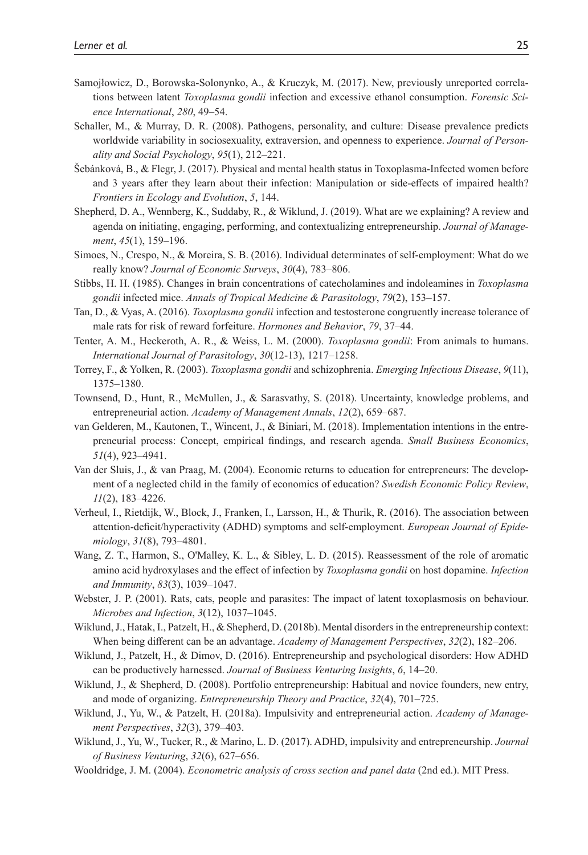- <span id="page-24-10"></span>Samojłowicz, D., Borowska-Solonynko, A., & Kruczyk, M. (2017). New, previously unreported correlations between latent *Toxoplasma gondii* infection and excessive ethanol consumption. *Forensic Science International*, *280*, 49–54.
- <span id="page-24-6"></span>Schaller, M., & Murray, D. R. (2008). Pathogens, personality, and culture: Disease prevalence predicts worldwide variability in sociosexuality, extraversion, and openness to experience. *Journal of Personality and Social Psychology*, *95*(1), 212–221.
- <span id="page-24-20"></span>Šebánková, B., & Flegr, J. (2017). Physical and mental health status in Toxoplasma-Infected women before and 3 years after they learn about their infection: Manipulation or side-effects of impaired health? *Frontiers in Ecology and Evolution*, *5*, 144.
- <span id="page-24-11"></span>Shepherd, D. A., Wennberg, K., Suddaby, R., & Wiklund, J. (2019). What are we explaining? A review and agenda on initiating, engaging, performing, and contextualizing entrepreneurship. *Journal of Management*, *45*(1), 159–196.
- <span id="page-24-14"></span>Simoes, N., Crespo, N., & Moreira, S. B. (2016). Individual determinates of self-employment: What do we really know? *Journal of Economic Surveys*, *30*(4), 783–806.
- <span id="page-24-7"></span>Stibbs, H. H. (1985). Changes in brain concentrations of catecholamines and indoleamines in *Toxoplasma gondii* infected mice. *Annals of Tropical Medicine & Parasitology*, *79*(2), 153–157.
- <span id="page-24-8"></span>Tan, D., & Vyas, A. (2016). *Toxoplasma gondii* infection and testosterone congruently increase tolerance of male rats for risk of reward forfeiture. *Hormones and Behavior*, *79*, 37–44.
- <span id="page-24-0"></span>Tenter, A. M., Heckeroth, A. R., & Weiss, L. M. (2000). *Toxoplasma gondii*: From animals to humans. *International Journal of Parasitology*, *30*(12-13), 1217–1258.
- <span id="page-24-5"></span>Torrey, F., & Yolken, R. (2003). *Toxoplasma gondii* and schizophrenia. *Emerging Infectious Disease*, *9*(11), 1375–1380.
- <span id="page-24-13"></span>Townsend, D., Hunt, R., McMullen, J., & Sarasvathy, S. (2018). Uncertainty, knowledge problems, and entrepreneurial action. *Academy of Management Annals*, *12*(2), 659–687.
- <span id="page-24-1"></span>van Gelderen, M., Kautonen, T., Wincent, J., & Biniari, M. (2018). Implementation intentions in the entrepreneurial process: Concept, empirical findings, and research agenda. *Small Business Economics*, *51*(4), 923–4941.
- <span id="page-24-15"></span>Van der Sluis, J., & van Praag, M. (2004). Economic returns to education for entrepreneurs: The development of a neglected child in the family of economics of education? *Swedish Economic Policy Review*, *11*(2), 183–4226.
- <span id="page-24-3"></span>Verheul, I., Rietdijk, W., Block, J., Franken, I., Larsson, H., & Thurik, R. (2016). The association between attention-deficit/hyperactivity (ADHD) symptoms and self-employment. *European Journal of Epidemiology*, *31*(8), 793–4801.
- <span id="page-24-9"></span>Wang, Z. T., Harmon, S., O'Malley, K. L., & Sibley, L. D. (2015). Reassessment of the role of aromatic amino acid hydroxylases and the effect of infection by *Toxoplasma gondii* on host dopamine. *Infection and Immunity*, *83*(3), 1039–1047.
- <span id="page-24-4"></span>Webster, J. P. (2001). Rats, cats, people and parasites: The impact of latent toxoplasmosis on behaviour. *Microbes and Infection*, *3*(12), 1037–1045.
- <span id="page-24-19"></span>Wiklund, J., Hatak, I., Patzelt, H., & Shepherd, D. (2018b). Mental disorders in the entrepreneurship context: When being different can be an advantage. *Academy of Management Perspectives*, *32*(2), 182–206.
- <span id="page-24-2"></span>Wiklund, J., Patzelt, H., & Dimov, D. (2016). Entrepreneurship and psychological disorders: How ADHD can be productively harnessed. *Journal of Business Venturing Insights*, *6*, 14–20.
- <span id="page-24-12"></span>Wiklund, J., & Shepherd, D. (2008). Portfolio entrepreneurship: Habitual and novice founders, new entry, and mode of organizing. *Entrepreneurship Theory and Practice*, *32*(4), 701–725.
- <span id="page-24-17"></span>Wiklund, J., Yu, W., & Patzelt, H. (2018a). Impulsivity and entrepreneurial action. *Academy of Management Perspectives*, *32*(3), 379–403.
- <span id="page-24-18"></span>Wiklund, J., Yu, W., Tucker, R., & Marino, L. D. (2017). ADHD, impulsivity and entrepreneurship. *Journal of Business Venturing*, *32*(6), 627–656.
- <span id="page-24-16"></span>Wooldridge, J. M. (2004). *Econometric analysis of cross section and panel data* (2nd ed.). MIT Press.